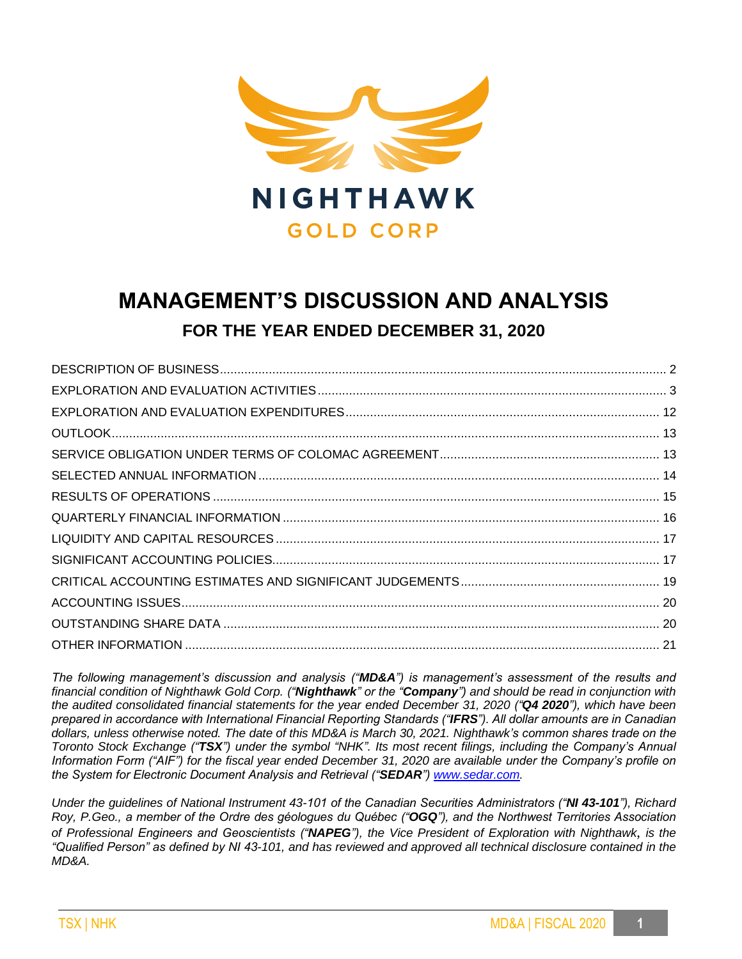

# **MANAGEMENT'S DISCUSSION AND ANALYSIS FOR THE YEAR ENDED DECEMBER 31, 2020**

*The following management's discussion and analysis ("MD&A") is management's assessment of the results and financial condition of Nighthawk Gold Corp. ("Nighthawk" or the "Company") and should be read in conjunction with the audited consolidated financial statements for the year ended December 31, 2020 ("Q4 2020"), which have been prepared in accordance with International Financial Reporting Standards ("IFRS"). All dollar amounts are in Canadian dollars, unless otherwise noted. The date of this MD&A is March 30, 2021. Nighthawk's common shares trade on the Toronto Stock Exchange ("TSX") under the symbol "NHK". Its most recent filings, including the Company's Annual Information Form ("AIF") for the fiscal year ended December 31, 2020 are available under the Company's profile on the System for Electronic Document Analysis and Retrieval ("SEDAR"[\) www.sedar.com.](http://www.sedar.com/)*

*Under the guidelines of National Instrument 43-101 of the Canadian Securities Administrators ("NI 43-101"), Richard Roy, P.Geo., a member of the Ordre des géologues du Québec ("OGQ"), and the Northwest Territories Association of Professional Engineers and Geoscientists ("NAPEG"), the Vice President of Exploration with Nighthawk*, *is the "Qualified Person" as defined by NI 43-101, and has reviewed and approved all technical disclosure contained in the MD&A.*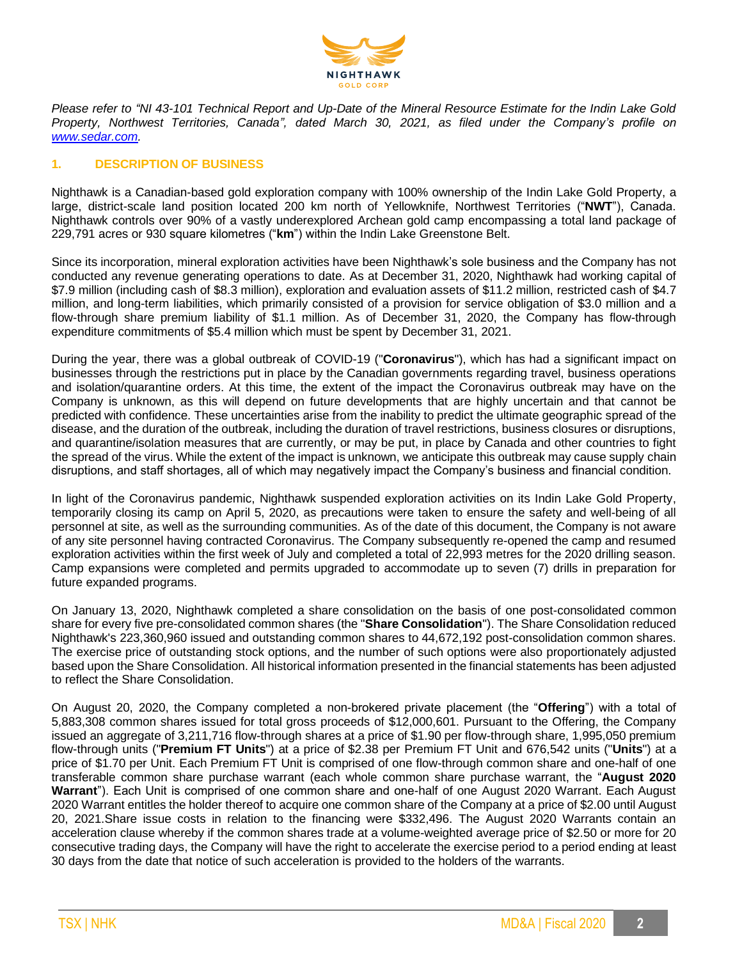

*Please refer to "NI 43-101 Technical Report and Up-Date of the Mineral Resource Estimate for the Indin Lake Gold Property, Northwest Territories, Canada", dated March 30, 2021, as filed under the Company's profile on [www.sedar.com.](http://www.sedar.com/)*

## **1. DESCRIPTION OF BUSINESS**

Nighthawk is a Canadian-based gold exploration company with 100% ownership of the Indin Lake Gold Property, a large, district-scale land position located 200 km north of Yellowknife, Northwest Territories ("**NWT**"), Canada. Nighthawk controls over 90% of a vastly underexplored Archean gold camp encompassing a total land package of 229,791 acres or 930 square kilometres ("**km**") within the Indin Lake Greenstone Belt.

Since its incorporation, mineral exploration activities have been Nighthawk's sole business and the Company has not conducted any revenue generating operations to date. As at December 31, 2020, Nighthawk had working capital of \$7.9 million (including cash of \$8.3 million), exploration and evaluation assets of \$11.2 million, restricted cash of \$4.7 million, and long-term liabilities, which primarily consisted of a provision for service obligation of \$3.0 million and a flow-through share premium liability of \$1.1 million. As of December 31, 2020, the Company has flow-through expenditure commitments of \$5.4 million which must be spent by December 31, 2021.

During the year, there was a global outbreak of COVID-19 ("**Coronavirus**"), which has had a significant impact on businesses through the restrictions put in place by the Canadian governments regarding travel, business operations and isolation/quarantine orders. At this time, the extent of the impact the Coronavirus outbreak may have on the Company is unknown, as this will depend on future developments that are highly uncertain and that cannot be predicted with confidence. These uncertainties arise from the inability to predict the ultimate geographic spread of the disease, and the duration of the outbreak, including the duration of travel restrictions, business closures or disruptions, and quarantine/isolation measures that are currently, or may be put, in place by Canada and other countries to fight the spread of the virus. While the extent of the impact is unknown, we anticipate this outbreak may cause supply chain disruptions, and staff shortages, all of which may negatively impact the Company's business and financial condition.

In light of the Coronavirus pandemic, Nighthawk suspended exploration activities on its Indin Lake Gold Property, temporarily closing its camp on April 5, 2020, as precautions were taken to ensure the safety and well-being of all personnel at site, as well as the surrounding communities. As of the date of this document, the Company is not aware of any site personnel having contracted Coronavirus. The Company subsequently re-opened the camp and resumed exploration activities within the first week of July and completed a total of 22,993 metres for the 2020 drilling season. Camp expansions were completed and permits upgraded to accommodate up to seven (7) drills in preparation for future expanded programs.

On January 13, 2020, Nighthawk completed a share consolidation on the basis of one post-consolidated common share for every five pre-consolidated common shares (the "**Share Consolidation**"). The Share Consolidation reduced Nighthawk's 223,360,960 issued and outstanding common shares to 44,672,192 post-consolidation common shares. The exercise price of outstanding stock options, and the number of such options were also proportionately adjusted based upon the Share Consolidation. All historical information presented in the financial statements has been adjusted to reflect the Share Consolidation.

On August 20, 2020, the Company completed a non-brokered private placement (the "**Offering**") with a total of 5,883,308 common shares issued for total gross proceeds of \$12,000,601. Pursuant to the Offering, the Company issued an aggregate of 3,211,716 flow-through shares at a price of \$1.90 per flow-through share, 1,995,050 premium flow-through units ("**Premium FT Units**") at a price of \$2.38 per Premium FT Unit and 676,542 units ("**Units**") at a price of \$1.70 per Unit. Each Premium FT Unit is comprised of one flow-through common share and one-half of one transferable common share purchase warrant (each whole common share purchase warrant, the "**August 2020 Warrant**"). Each Unit is comprised of one common share and one-half of one August 2020 Warrant. Each August 2020 Warrant entitles the holder thereof to acquire one common share of the Company at a price of \$2.00 until August 20, 2021.Share issue costs in relation to the financing were \$332,496. The August 2020 Warrants contain an acceleration clause whereby if the common shares trade at a volume-weighted average price of \$2.50 or more for 20 consecutive trading days, the Company will have the right to accelerate the exercise period to a period ending at least 30 days from the date that notice of such acceleration is provided to the holders of the warrants.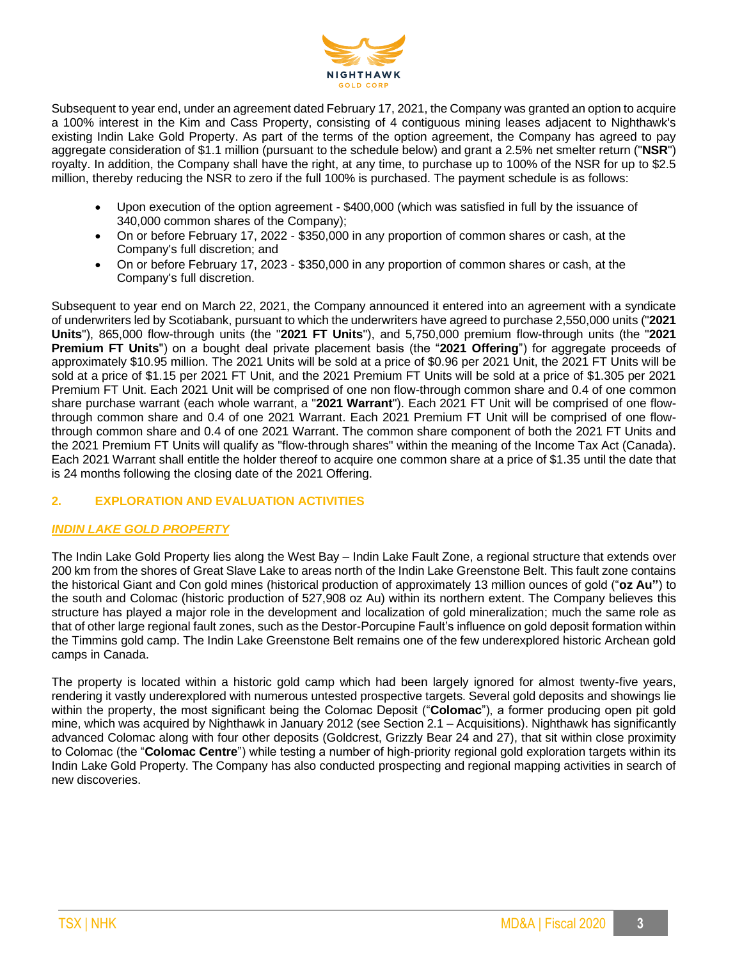

Subsequent to year end, under an agreement dated February 17, 2021, the Company was granted an option to acquire a 100% interest in the Kim and Cass Property, consisting of 4 contiguous mining leases adjacent to Nighthawk's existing Indin Lake Gold Property. As part of the terms of the option agreement, the Company has agreed to pay aggregate consideration of \$1.1 million (pursuant to the schedule below) and grant a 2.5% net smelter return ("**NSR**") royalty. In addition, the Company shall have the right, at any time, to purchase up to 100% of the NSR for up to \$2.5 million, thereby reducing the NSR to zero if the full 100% is purchased. The payment schedule is as follows:

- Upon execution of the option agreement \$400,000 (which was satisfied in full by the issuance of 340,000 common shares of the Company);
- On or before February 17, 2022 \$350,000 in any proportion of common shares or cash, at the Company's full discretion; and
- On or before February 17, 2023 \$350,000 in any proportion of common shares or cash, at the Company's full discretion.

Subsequent to year end on March 22, 2021, the Company announced it entered into an agreement with a syndicate of underwriters led by Scotiabank, pursuant to which the underwriters have agreed to purchase 2,550,000 units ("**2021 Units**"), 865,000 flow-through units (the "**2021 FT Units**"), and 5,750,000 premium flow-through units (the "**2021 Premium FT Units**") on a bought deal private placement basis (the "**2021 Offering**") for aggregate proceeds of approximately \$10.95 million. The 2021 Units will be sold at a price of \$0.96 per 2021 Unit, the 2021 FT Units will be sold at a price of \$1.15 per 2021 FT Unit, and the 2021 Premium FT Units will be sold at a price of \$1.305 per 2021 Premium FT Unit. Each 2021 Unit will be comprised of one non flow-through common share and 0.4 of one common share purchase warrant (each whole warrant, a "**2021 Warrant**"). Each 2021 FT Unit will be comprised of one flowthrough common share and 0.4 of one 2021 Warrant. Each 2021 Premium FT Unit will be comprised of one flowthrough common share and 0.4 of one 2021 Warrant. The common share component of both the 2021 FT Units and the 2021 Premium FT Units will qualify as "flow-through shares" within the meaning of the Income Tax Act (Canada). Each 2021 Warrant shall entitle the holder thereof to acquire one common share at a price of \$1.35 until the date that is 24 months following the closing date of the 2021 Offering.

## **2. EXPLORATION AND EVALUATION ACTIVITIES**

## *INDIN LAKE GOLD PROPERTY*

The Indin Lake Gold Property lies along the West Bay – Indin Lake Fault Zone, a regional structure that extends over 200 km from the shores of Great Slave Lake to areas north of the Indin Lake Greenstone Belt. This fault zone contains the historical Giant and Con gold mines (historical production of approximately 13 million ounces of gold ("**oz Au"**) to the south and Colomac (historic production of 527,908 oz Au) within its northern extent. The Company believes this structure has played a major role in the development and localization of gold mineralization; much the same role as that of other large regional fault zones, such as the Destor-Porcupine Fault's influence on gold deposit formation within the Timmins gold camp. The Indin Lake Greenstone Belt remains one of the few underexplored historic Archean gold camps in Canada.

The property is located within a historic gold camp which had been largely ignored for almost twenty-five years, rendering it vastly underexplored with numerous untested prospective targets. Several gold deposits and showings lie within the property, the most significant being the Colomac Deposit ("**Colomac**"), a former producing open pit gold mine, which was acquired by Nighthawk in January 2012 (see Section 2.1 – Acquisitions). Nighthawk has significantly advanced Colomac along with four other deposits (Goldcrest, Grizzly Bear 24 and 27), that sit within close proximity to Colomac (the "**Colomac Centre**") while testing a number of high-priority regional gold exploration targets within its Indin Lake Gold Property. The Company has also conducted prospecting and regional mapping activities in search of new discoveries.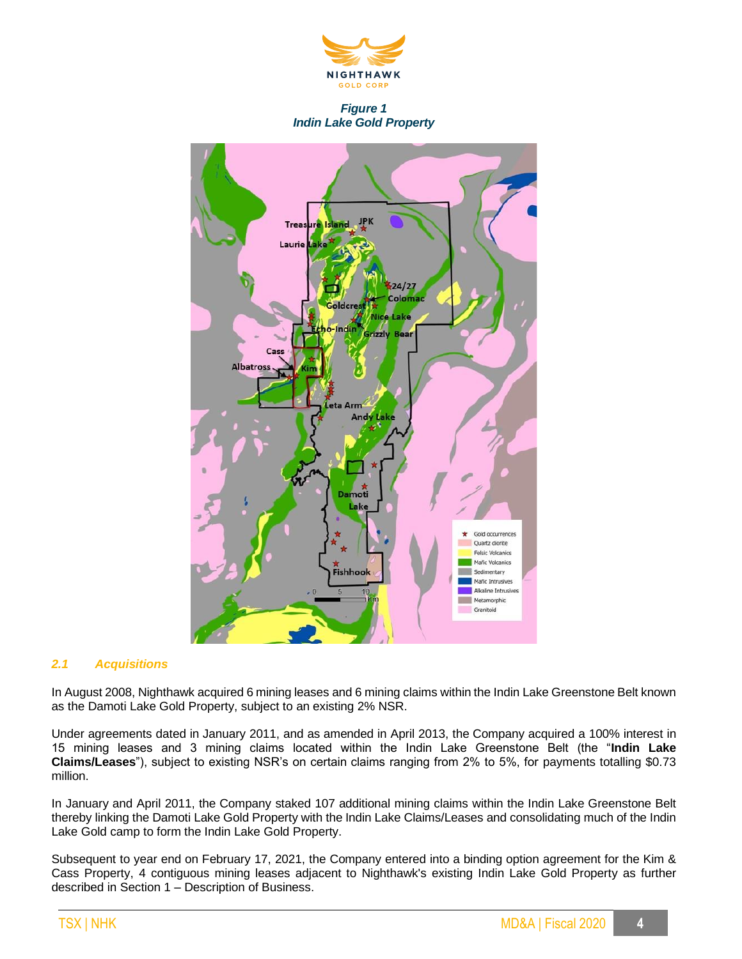

*Figure 1 Indin Lake Gold Property*



## *2.1 Acquisitions*

In August 2008, Nighthawk acquired 6 mining leases and 6 mining claims within the Indin Lake Greenstone Belt known as the Damoti Lake Gold Property, subject to an existing 2% NSR.

Under agreements dated in January 2011, and as amended in April 2013, the Company acquired a 100% interest in 15 mining leases and 3 mining claims located within the Indin Lake Greenstone Belt (the "**Indin Lake Claims/Leases**"), subject to existing NSR's on certain claims ranging from 2% to 5%, for payments totalling \$0.73 million.

In January and April 2011, the Company staked 107 additional mining claims within the Indin Lake Greenstone Belt thereby linking the Damoti Lake Gold Property with the Indin Lake Claims/Leases and consolidating much of the Indin Lake Gold camp to form the Indin Lake Gold Property.

Subsequent to year end on February 17, 2021, the Company entered into a binding option agreement for the Kim & Cass Property, 4 contiguous mining leases adjacent to Nighthawk's existing Indin Lake Gold Property as further described in Section 1 – Description of Business.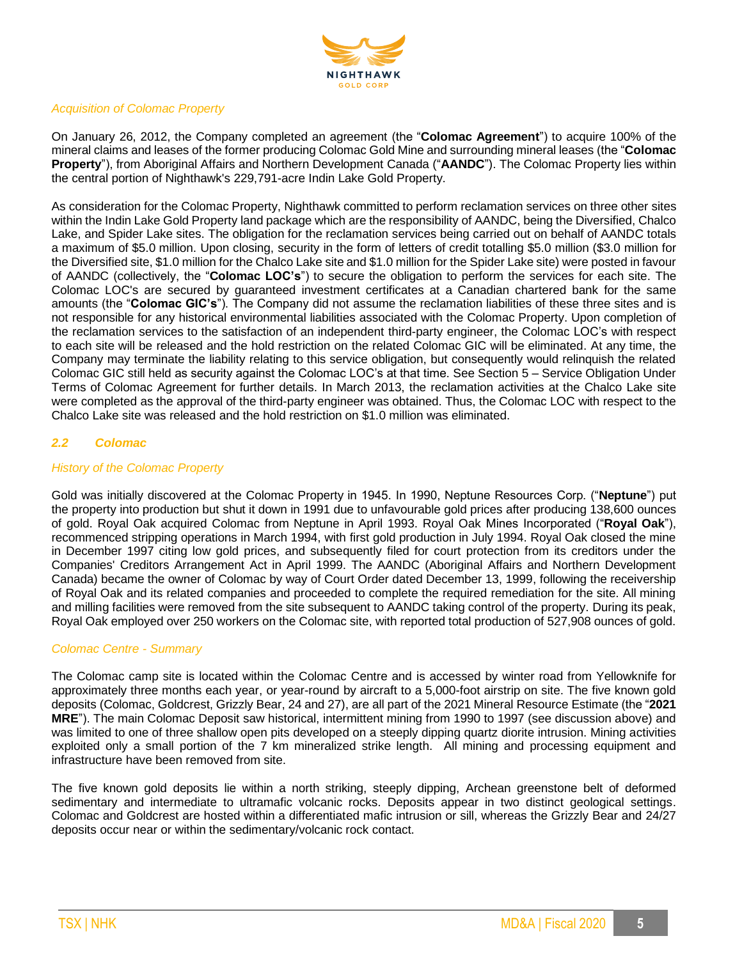

## *Acquisition of Colomac Property*

On January 26, 2012, the Company completed an agreement (the "**Colomac Agreement**") to acquire 100% of the mineral claims and leases of the former producing Colomac Gold Mine and surrounding mineral leases (the "**Colomac Property**"), from Aboriginal Affairs and Northern Development Canada ("**AANDC**"). The Colomac Property lies within the central portion of Nighthawk's 229,791-acre Indin Lake Gold Property.

As consideration for the Colomac Property, Nighthawk committed to perform reclamation services on three other sites within the Indin Lake Gold Property land package which are the responsibility of AANDC, being the Diversified, Chalco Lake, and Spider Lake sites. The obligation for the reclamation services being carried out on behalf of AANDC totals a maximum of \$5.0 million. Upon closing, security in the form of letters of credit totalling \$5.0 million (\$3.0 million for the Diversified site, \$1.0 million for the Chalco Lake site and \$1.0 million for the Spider Lake site) were posted in favour of AANDC (collectively, the "**Colomac LOC's**") to secure the obligation to perform the services for each site. The Colomac LOC's are secured by guaranteed investment certificates at a Canadian chartered bank for the same amounts (the "**Colomac GIC's**"). The Company did not assume the reclamation liabilities of these three sites and is not responsible for any historical environmental liabilities associated with the Colomac Property. Upon completion of the reclamation services to the satisfaction of an independent third-party engineer, the Colomac LOC's with respect to each site will be released and the hold restriction on the related Colomac GIC will be eliminated. At any time, the Company may terminate the liability relating to this service obligation, but consequently would relinquish the related Colomac GIC still held as security against the Colomac LOC's at that time. See Section 5 – Service Obligation Under Terms of Colomac Agreement for further details. In March 2013, the reclamation activities at the Chalco Lake site were completed as the approval of the third-party engineer was obtained. Thus, the Colomac LOC with respect to the Chalco Lake site was released and the hold restriction on \$1.0 million was eliminated.

## *2.2 Colomac*

## *History of the Colomac Property*

Gold was initially discovered at the Colomac Property in 1945. In 1990, Neptune Resources Corp. ("**Neptune**") put the property into production but shut it down in 1991 due to unfavourable gold prices after producing 138,600 ounces of gold. Royal Oak acquired Colomac from Neptune in April 1993. Royal Oak Mines Incorporated ("**Royal Oak**"), recommenced stripping operations in March 1994, with first gold production in July 1994. Royal Oak closed the mine in December 1997 citing low gold prices, and subsequently filed for court protection from its creditors under the Companies' Creditors Arrangement Act in April 1999. The AANDC (Aboriginal Affairs and Northern Development Canada) became the owner of Colomac by way of Court Order dated December 13, 1999, following the receivership of Royal Oak and its related companies and proceeded to complete the required remediation for the site. All mining and milling facilities were removed from the site subsequent to AANDC taking control of the property. During its peak, Royal Oak employed over 250 workers on the Colomac site, with reported total production of 527,908 ounces of gold.

## *Colomac Centre - Summary*

The Colomac camp site is located within the Colomac Centre and is accessed by winter road from Yellowknife for approximately three months each year, or year-round by aircraft to a 5,000-foot airstrip on site. The five known gold deposits (Colomac, Goldcrest, Grizzly Bear, 24 and 27), are all part of the 2021 Mineral Resource Estimate (the "**2021 MRE**"). The main Colomac Deposit saw historical, intermittent mining from 1990 to 1997 (see discussion above) and was limited to one of three shallow open pits developed on a steeply dipping quartz diorite intrusion. Mining activities exploited only a small portion of the 7 km mineralized strike length. All mining and processing equipment and infrastructure have been removed from site.

The five known gold deposits lie within a north striking, steeply dipping, Archean greenstone belt of deformed sedimentary and intermediate to ultramafic volcanic rocks. Deposits appear in two distinct geological settings. Colomac and Goldcrest are hosted within a differentiated mafic intrusion or sill, whereas the Grizzly Bear and 24/27 deposits occur near or within the sedimentary/volcanic rock contact.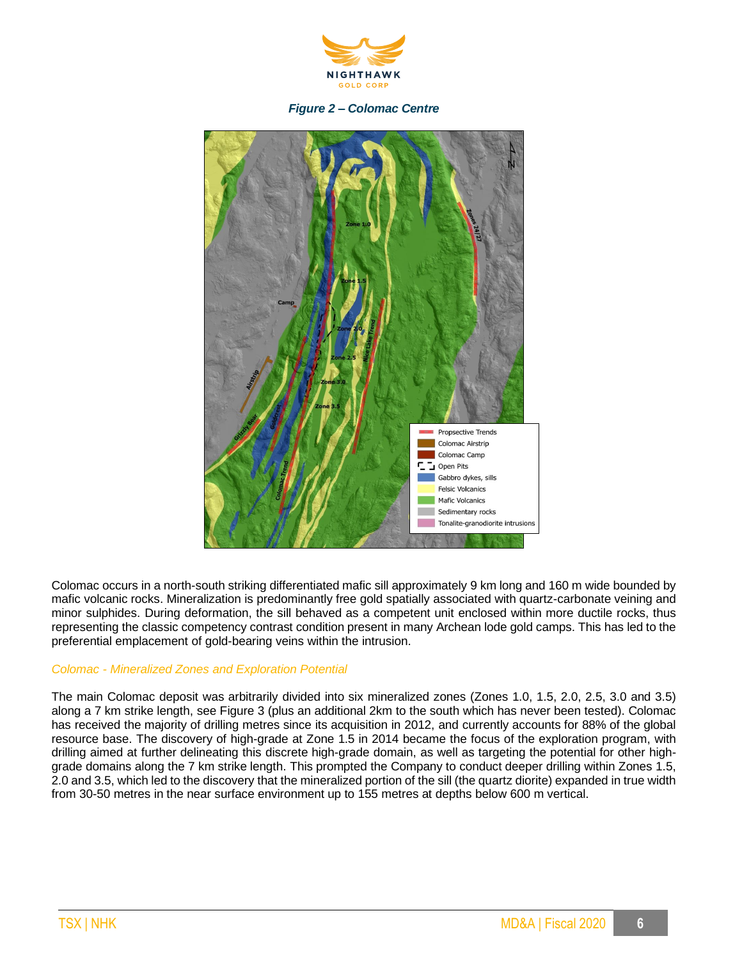

# *Figure 2 – Colomac Centre*



Colomac occurs in a north-south striking differentiated mafic sill approximately 9 km long and 160 m wide bounded by mafic volcanic rocks. Mineralization is predominantly free gold spatially associated with quartz-carbonate veining and minor sulphides. During deformation, the sill behaved as a competent unit enclosed within more ductile rocks, thus representing the classic competency contrast condition present in many Archean lode gold camps. This has led to the preferential emplacement of gold-bearing veins within the intrusion.

## *Colomac - Mineralized Zones and Exploration Potential*

The main Colomac deposit was arbitrarily divided into six mineralized zones (Zones 1.0, 1.5, 2.0, 2.5, 3.0 and 3.5) along a 7 km strike length, see Figure 3 (plus an additional 2km to the south which has never been tested). Colomac has received the majority of drilling metres since its acquisition in 2012, and currently accounts for 88% of the global resource base. The discovery of high-grade at Zone 1.5 in 2014 became the focus of the exploration program, with drilling aimed at further delineating this discrete high-grade domain, as well as targeting the potential for other highgrade domains along the 7 km strike length. This prompted the Company to conduct deeper drilling within Zones 1.5, 2.0 and 3.5, which led to the discovery that the mineralized portion of the sill (the quartz diorite) expanded in true width from 30-50 metres in the near surface environment up to 155 metres at depths below 600 m vertical.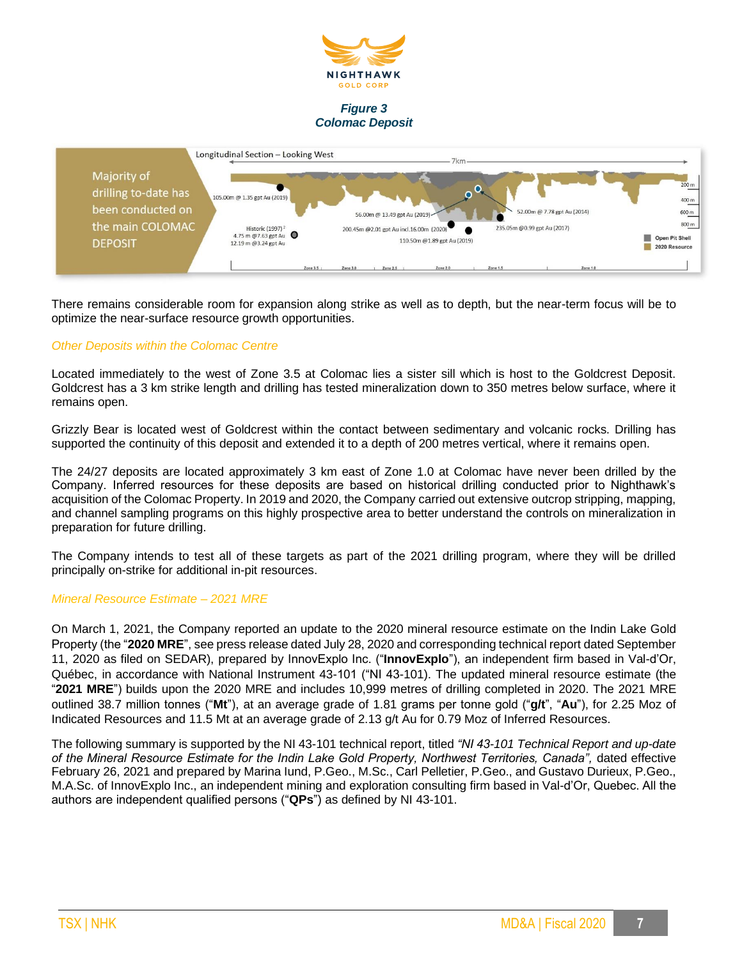

## *Figure 3 Colomac Deposit*



There remains considerable room for expansion along strike as well as to depth, but the near-term focus will be to optimize the near-surface resource growth opportunities.

## *Other Deposits within the Colomac Centre*

Located immediately to the west of Zone 3.5 at Colomac lies a sister sill which is host to the Goldcrest Deposit. Goldcrest has a 3 km strike length and drilling has tested mineralization down to 350 metres below surface, where it remains open.

Grizzly Bear is located west of Goldcrest within the contact between sedimentary and volcanic rocks. Drilling has supported the continuity of this deposit and extended it to a depth of 200 metres vertical, where it remains open.

The 24/27 deposits are located approximately 3 km east of Zone 1.0 at Colomac have never been drilled by the Company. Inferred resources for these deposits are based on historical drilling conducted prior to Nighthawk's acquisition of the Colomac Property. In 2019 and 2020, the Company carried out extensive outcrop stripping, mapping, and channel sampling programs on this highly prospective area to better understand the controls on mineralization in preparation for future drilling.

The Company intends to test all of these targets as part of the 2021 drilling program, where they will be drilled principally on-strike for additional in-pit resources.

## *Mineral Resource Estimate – 2021 MRE*

On March 1, 2021, the Company reported an update to the 2020 mineral resource estimate on the Indin Lake Gold Property (the "**2020 MRE**", see press release dated July 28, 2020 and corresponding technical report dated September 11, 2020 as filed on SEDAR), prepared by InnovExplo Inc. ("**InnovExplo**"), an independent firm based in Val-d'Or, Québec, in accordance with National Instrument 43-101 ("NI 43-101). The updated mineral resource estimate (the "**2021 MRE**") builds upon the 2020 MRE and includes 10,999 metres of drilling completed in 2020. The 2021 MRE outlined 38.7 million tonnes ("**Mt**"), at an average grade of 1.81 grams per tonne gold ("**g/t**", "**Au**"), for 2.25 Moz of Indicated Resources and 11.5 Mt at an average grade of 2.13 g/t Au for 0.79 Moz of Inferred Resources.

The following summary is supported by the NI 43-101 technical report, titled *"NI 43-101 Technical Report and up-date of the Mineral Resource Estimate for the Indin Lake Gold Property, Northwest Territories, Canada",* dated effective February 26, 2021 and prepared by Marina Iund, P.Geo., M.Sc., Carl Pelletier, P.Geo., and Gustavo Durieux, P.Geo., M.A.Sc. of InnovExplo Inc., an independent mining and exploration consulting firm based in Val-d'Or, Quebec. All the authors are independent qualified persons ("**QPs**") as defined by NI 43-101.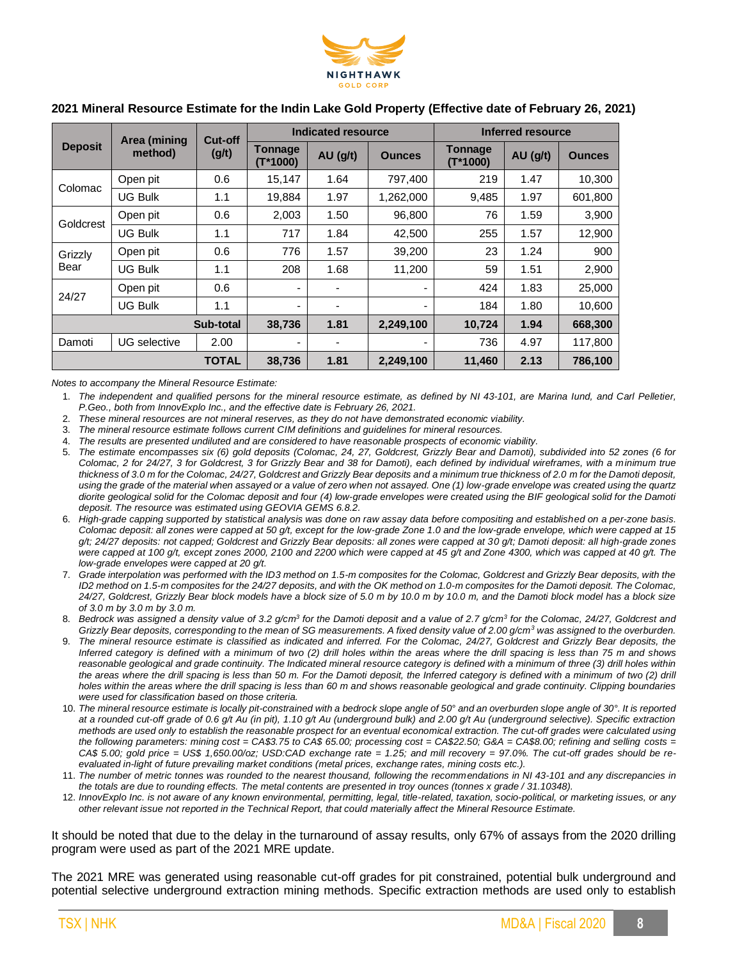

| Area (mining   |                | Cut-off      | <b>Indicated resource</b> |            |               | Inferred resource            |            |               |  |
|----------------|----------------|--------------|---------------------------|------------|---------------|------------------------------|------------|---------------|--|
| <b>Deposit</b> | method)        | (g/t)        | Tonnage<br>$(T*1000)$     | $AU$ (g/t) | <b>Ounces</b> | <b>Tonnage</b><br>$(T*1000)$ | $AU$ (g/t) | <b>Ounces</b> |  |
| Colomac        | Open pit       | 0.6          | 15,147                    | 1.64       | 797,400       | 219                          | 1.47       | 10,300        |  |
|                | <b>UG Bulk</b> | 1.1          | 19.884                    | 1.97       | 1,262,000     | 9,485                        | 1.97       | 601.800       |  |
| Goldcrest      | Open pit       | 0.6          | 2,003                     | 1.50       | 96,800        | 76                           | 1.59       | 3,900         |  |
|                | UG Bulk        | 1.1          | 717                       | 1.84       | 42,500        | 255                          | 1.57       | 12,900        |  |
| Grizzly        | Open pit       | 0.6          | 776                       | 1.57       | 39,200        | 23                           | 1.24       | 900           |  |
| Bear           | <b>UG Bulk</b> | 1.1          | 208                       | 1.68       | 11,200        | 59                           | 1.51       | 2,900         |  |
| 24/27          | Open pit       | 0.6          | $\overline{\phantom{a}}$  |            |               | 424                          | 1.83       | 25,000        |  |
|                | <b>UG Bulk</b> | 1.1          | ٠                         |            |               | 184                          | 1.80       | 10,600        |  |
|                |                | Sub-total    | 38,736                    | 1.81       | 2,249,100     | 10,724                       | 1.94       | 668,300       |  |
| Damoti         | UG selective   | 2.00         | ٠                         |            |               | 736                          | 4.97       | 117.800       |  |
|                |                | <b>TOTAL</b> | 38,736                    | 1.81       | 2,249,100     | 11,460                       | 2.13       | 786,100       |  |

## **2021 Mineral Resource Estimate for the Indin Lake Gold Property (Effective date of February 26, 2021)**

*Notes to accompany the Mineral Resource Estimate:*

- 1. *The independent and qualified persons for the mineral resource estimate, as defined by NI 43-101, are Marina Iund, and Carl Pelletier, P.Geo., both from InnovExplo Inc., and the effective date is February 26, 2021.*
- 2. *These mineral resources are not mineral reserves, as they do not have demonstrated economic viability.*
- 3. *The mineral resource estimate follows current CIM definitions and guidelines for mineral resources.*
- 4. *The results are presented undiluted and are considered to have reasonable prospects of economic viability.*
- 5. *The estimate encompasses six (6) gold deposits (Colomac, 24, 27, Goldcrest, Grizzly Bear and Damoti), subdivided into 52 zones (6 for Colomac, 2 for 24/27, 3 for Goldcrest, 3 for Grizzly Bear and 38 for Damoti), each defined by individual wireframes, with a minimum true thickness of 3.0 m for the Colomac, 24/27, Goldcrest and Grizzly Bear deposits and a minimum true thickness of 2.0 m for the Damoti deposit, using the grade of the material when assayed or a value of zero when not assayed. One (1) low-grade envelope was created using the quartz diorite geological solid for the Colomac deposit and four (4) low-grade envelopes were created using the BIF geological solid for the Damoti deposit. The resource was estimated using GEOVIA GEMS 6.8.2.*
- 6. *High-grade capping supported by statistical analysis was done on raw assay data before compositing and established on a per-zone basis. Colomac deposit: all zones were capped at 50 g/t, except for the low-grade Zone 1.0 and the low-grade envelope, which were capped at 15 g/t; 24/27 deposits: not capped; Goldcrest and Grizzly Bear deposits: all zones were capped at 30 g/t; Damoti deposit: all high-grade zones were capped at 100 g/t, except zones 2000, 2100 and 2200 which were capped at 45 g/t and Zone 4300, which was capped at 40 g/t. The low-grade envelopes were capped at 20 g/t.*
- 7. *Grade interpolation was performed with the ID3 method on 1.5-m composites for the Colomac, Goldcrest and Grizzly Bear deposits, with the ID2 method on 1.5-m composites for the 24/27 deposits, and with the OK method on 1.0-m composites for the Damoti deposit. The Colomac, 24/27, Goldcrest, Grizzly Bear block models have a block size of 5.0 m by 10.0 m by 10.0 m, and the Damoti block model has a block size of 3.0 m by 3.0 m by 3.0 m.*
- 8. *Bedrock was assigned a density value of 3.2 g/cm<sup>3</sup> for the Damoti deposit and a value of 2.7 g/cm<sup>3</sup> for the Colomac, 24/27, Goldcrest and Grizzly Bear deposits, corresponding to the mean of SG measurements. A fixed density value of 2.00 g/cm<sup>3</sup> was assigned to the overburden.*
- 9. *The mineral resource estimate is classified as indicated and inferred. For the Colomac, 24/27, Goldcrest and Grizzly Bear deposits, the Inferred category is defined with a minimum of two (2) drill holes within the areas where the drill spacing is less than 75 m and shows reasonable geological and grade continuity. The Indicated mineral resource category is defined with a minimum of three (3) drill holes within*  the areas where the drill spacing is less than 50 m. For the Damoti deposit, the Inferred category is defined with a minimum of two (2) drill *holes within the areas where the drill spacing is less than 60 m and shows reasonable geological and grade continuity. Clipping boundaries were used for classification based on those criteria.*
- 10. *The mineral resource estimate is locally pit-constrained with a bedrock slope angle of 50° and an overburden slope angle of 30°. It is reported at a rounded cut-off grade of 0.6 g/t Au (in pit), 1.10 g/t Au (underground bulk) and 2.00 g/t Au (underground selective). Specific extraction methods are used only to establish the reasonable prospect for an eventual economical extraction. The cut-off grades were calculated using the following parameters: mining cost = CA\$3.75 to CA\$ 65.00; processing cost = CA\$22.50; G&A = CA\$8.00; refining and selling costs = CA\$ 5.00; gold price = US\$ 1,650.00/oz; USD:CAD exchange rate = 1.25; and mill recovery = 97.0%. The cut-off grades should be reevaluated in-light of future prevailing market conditions (metal prices, exchange rates, mining costs etc.).*
- 11. *The number of metric tonnes was rounded to the nearest thousand, following the recommendations in NI 43-101 and any discrepancies in the totals are due to rounding effects. The metal contents are presented in troy ounces (tonnes x grade / 31.10348).*
- 12. *InnovExplo Inc. is not aware of any known environmental, permitting, legal, title-related, taxation, socio-political, or marketing issues, or any other relevant issue not reported in the Technical Report, that could materially affect the Mineral Resource Estimate.*

It should be noted that due to the delay in the turnaround of assay results, only 67% of assays from the 2020 drilling program were used as part of the 2021 MRE update.

The 2021 MRE was generated using reasonable cut-off grades for pit constrained, potential bulk underground and potential selective underground extraction mining methods. Specific extraction methods are used only to establish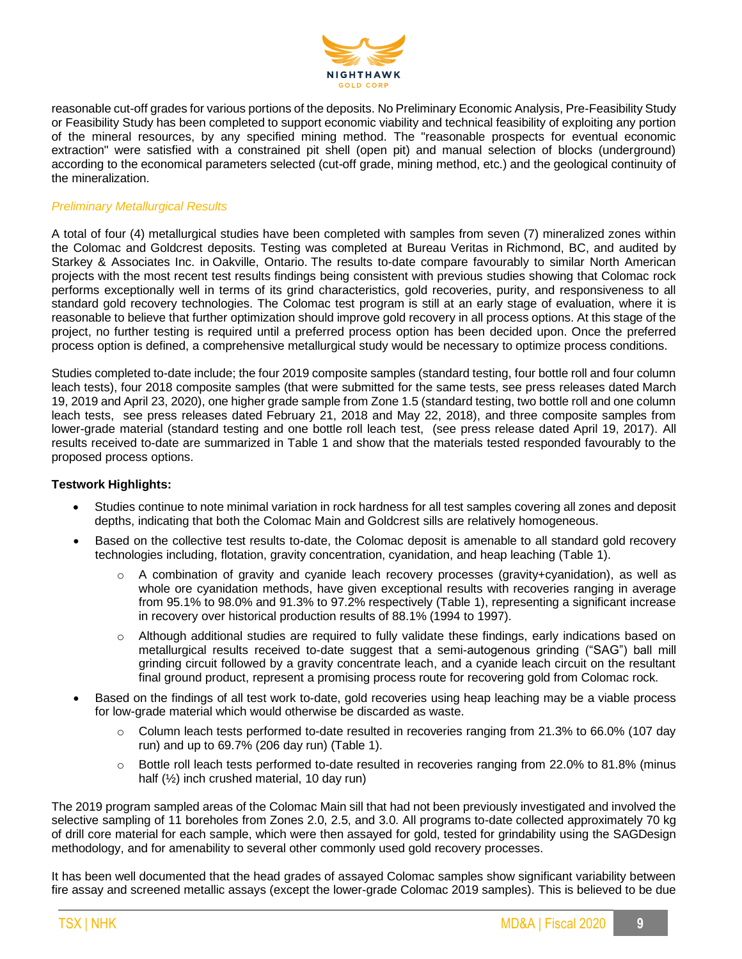

reasonable cut-off grades for various portions of the deposits. No Preliminary Economic Analysis, Pre-Feasibility Study or Feasibility Study has been completed to support economic viability and technical feasibility of exploiting any portion of the mineral resources, by any specified mining method. The "reasonable prospects for eventual economic extraction" were satisfied with a constrained pit shell (open pit) and manual selection of blocks (underground) according to the economical parameters selected (cut-off grade, mining method, etc.) and the geological continuity of the mineralization.

## *Preliminary Metallurgical Results*

A total of four (4) metallurgical studies have been completed with samples from seven (7) mineralized zones within the Colomac and Goldcrest deposits. Testing was completed at Bureau Veritas in Richmond, BC, and audited by Starkey & Associates Inc. in Oakville, Ontario. The results to-date compare favourably to similar North American projects with the most recent test results findings being consistent with previous studies showing that Colomac rock performs exceptionally well in terms of its grind characteristics, gold recoveries, purity, and responsiveness to all standard gold recovery technologies. The Colomac test program is still at an early stage of evaluation, where it is reasonable to believe that further optimization should improve gold recovery in all process options. At this stage of the project, no further testing is required until a preferred process option has been decided upon. Once the preferred process option is defined, a comprehensive metallurgical study would be necessary to optimize process conditions.

Studies completed to-date include; the four 2019 composite samples (standard testing, four bottle roll and four column leach tests), four 2018 composite samples (that were submitted for the same tests, see press releases dated March 19, 2019 and April 23, 2020), one higher grade sample from Zone 1.5 (standard testing, two bottle roll and one column leach tests, see press releases dated February 21, 2018 and May 22, 2018), and three composite samples from lower-grade material (standard testing and one bottle roll leach test, (see press release dated April 19, 2017). All results received to-date are summarized in Table 1 and show that the materials tested responded favourably to the proposed process options.

## **Testwork Highlights:**

- Studies continue to note minimal variation in rock hardness for all test samples covering all zones and deposit depths, indicating that both the Colomac Main and Goldcrest sills are relatively homogeneous.
- Based on the collective test results to-date, the Colomac deposit is amenable to all standard gold recovery technologies including, flotation, gravity concentration, cyanidation, and heap leaching (Table 1).
	- A combination of gravity and cyanide leach recovery processes (gravity+cyanidation), as well as whole ore cyanidation methods, have given exceptional results with recoveries ranging in average from 95.1% to 98.0% and 91.3% to 97.2% respectively (Table 1), representing a significant increase in recovery over historical production results of 88.1% (1994 to 1997).
	- Although additional studies are required to fully validate these findings, early indications based on metallurgical results received to-date suggest that a semi-autogenous grinding ("SAG") ball mill grinding circuit followed by a gravity concentrate leach, and a cyanide leach circuit on the resultant final ground product, represent a promising process route for recovering gold from Colomac rock.
- Based on the findings of all test work to-date, gold recoveries using heap leaching may be a viable process for low-grade material which would otherwise be discarded as waste.
	- Column leach tests performed to-date resulted in recoveries ranging from 21.3% to 66.0% (107 day run) and up to 69.7% (206 day run) (Table 1).
	- o Bottle roll leach tests performed to-date resulted in recoveries ranging from 22.0% to 81.8% (minus half (½) inch crushed material, 10 day run)

The 2019 program sampled areas of the Colomac Main sill that had not been previously investigated and involved the selective sampling of 11 boreholes from Zones 2.0, 2.5, and 3.0. All programs to-date collected approximately 70 kg of drill core material for each sample, which were then assayed for gold, tested for grindability using the SAGDesign methodology, and for amenability to several other commonly used gold recovery processes.

It has been well documented that the head grades of assayed Colomac samples show significant variability between fire assay and screened metallic assays (except the lower-grade Colomac 2019 samples). This is believed to be due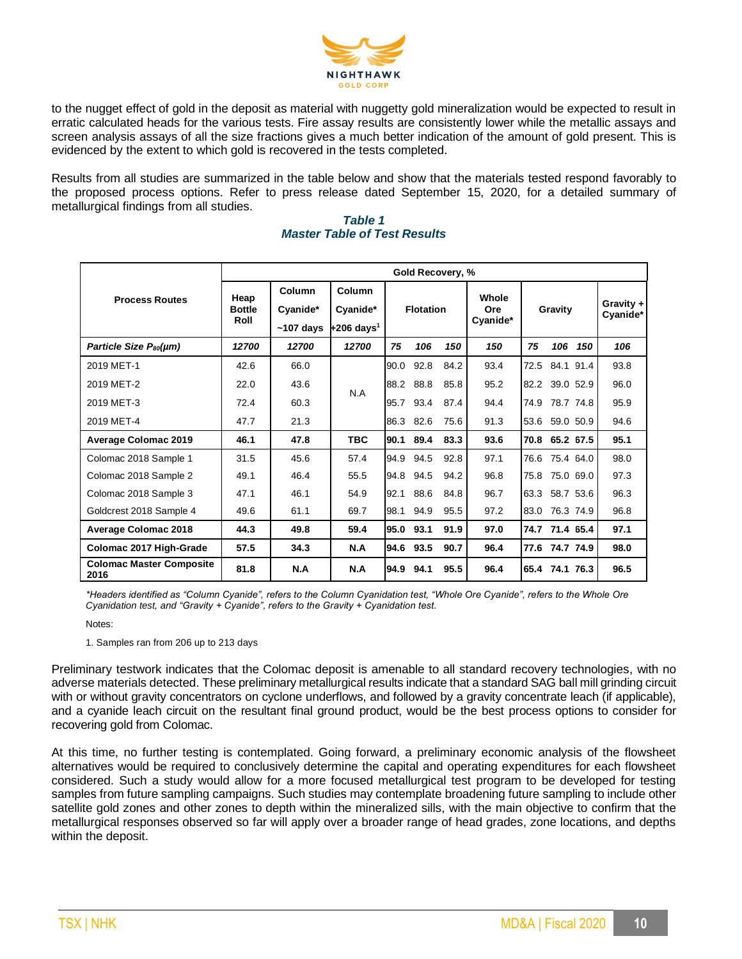

to the nugget effect of gold in the deposit as material with nuggetty gold mineralization would be expected to result in erratic calculated heads for the various tests. Fire assay results are consistently lower while the metallic assays and screen analysis assays of all the size fractions gives a much better indication of the amount of gold present. This is evidenced by the extent to which gold is recovered in the tests completed.

Results from all studies are summarized in the table below and show that the materials tested respond favorably to the proposed process options. Refer to press release dated September 15, 2020, for a detailed summary of metallurgical findings from all studies.

|                                         | Gold Recovery, % |             |                          |                  |           |      |          |      |                       |      |      |
|-----------------------------------------|------------------|-------------|--------------------------|------------------|-----------|------|----------|------|-----------------------|------|------|
|                                         | Heap             | Column      | Column                   |                  |           |      | Whole    |      |                       |      |      |
| <b>Process Routes</b>                   | <b>Bottle</b>    | Cyanide*    | Cyanide*                 | <b>Flotation</b> |           | Ore  | Gravity  |      | Gravity +<br>Cyanide* |      |      |
|                                         | Roll             | $~107$ days | $+206$ days <sup>1</sup> |                  |           |      | Cyanide* |      |                       |      |      |
| Particle Size P <sub>80</sub> (µm)      | 12700            | 12700       | 12700                    | 75               | 106       | 150  | 150      | 75   | 106                   | 150  | 106  |
| 2019 MET-1                              | 42.6             | 66.0        |                          | 90.0             | 92.8      | 84.2 | 93.4     | 72.5 | 84.1                  | 91.4 | 93.8 |
| 2019 MET-2                              | 22.0             | 43.6        | N.A                      | 88.2 88.8        |           | 85.8 | 95.2     |      | 82.2 39.0 52.9        |      | 96.0 |
| 2019 MET-3                              | 72.4             | 60.3        |                          | 95.7             | 93.4      | 87.4 | 94.4     | 74.9 | 78.7 74.8             |      | 95.9 |
| 2019 MET-4                              | 47.7             | 21.3        |                          |                  | 86.3 82.6 | 75.6 | 91.3     |      | 53.6 59.0 50.9        |      | 94.6 |
| <b>Average Colomac 2019</b>             | 46.1             | 47.8        | <b>TBC</b>               | 90.1             | 89.4      | 83.3 | 93.6     |      | 70.8 65.2 67.5        |      | 95.1 |
| Colomac 2018 Sample 1                   | 31.5             | 45.6        | 57.4                     | 94.9             | 94.5      | 92.8 | 97.1     | 76.6 | 75.4 64.0             |      | 98.0 |
| Colomac 2018 Sample 2                   | 49.1             | 46.4        | 55.5                     | 94.8             | 94.5      | 94.2 | 96.8     | 75.8 | 75.0 69.0             |      | 97.3 |
| Colomac 2018 Sample 3                   | 47.1             | 46.1        | 54.9                     | 92.1             | 88.6      | 84.8 | 96.7     | 63.3 | 58.7 53.6             |      | 96.3 |
| Goldcrest 2018 Sample 4                 | 49.6             | 61.1        | 69.7                     | 98.1             | 94.9      | 95.5 | 97.2     | 83.0 | 76.3 74.9             |      | 96.8 |
| <b>Average Colomac 2018</b>             | 44.3             | 49.8        | 59.4                     | 95.0             | 93.1      | 91.9 | 97.0     |      | 74.7 71.4 65.4        |      | 97.1 |
| Colomac 2017 High-Grade                 | 57.5             | 34.3        | N.A                      | 94.6 93.5        |           | 90.7 | 96.4     |      | 77.6 74.7 74.9        |      | 98.0 |
| <b>Colomac Master Composite</b><br>2016 | 81.8             | N.A         | N.A                      | 94.9             | 94.1      | 95.5 | 96.4     |      | 65.4 74.1 76.3        |      | 96.5 |

#### *Table 1 Master Table of Test Results*

*\*Headers identified as "Column Cyanide", refers to the Column Cyanidation test, "Whole Ore Cyanide", refers to the Whole Ore Cyanidation test, and "Gravity + Cyanide", refers to the Gravity + Cyanidation test.*

Notes:

1. Samples ran from 206 up to 213 days

Preliminary testwork indicates that the Colomac deposit is amenable to all standard recovery technologies, with no adverse materials detected. These preliminary metallurgical results indicate that a standard SAG ball mill grinding circuit with or without gravity concentrators on cyclone underflows, and followed by a gravity concentrate leach (if applicable), and a cyanide leach circuit on the resultant final ground product, would be the best process options to consider for recovering gold from Colomac.

At this time, no further testing is contemplated. Going forward, a preliminary economic analysis of the flowsheet alternatives would be required to conclusively determine the capital and operating expenditures for each flowsheet considered. Such a study would allow for a more focused metallurgical test program to be developed for testing samples from future sampling campaigns. Such studies may contemplate broadening future sampling to include other satellite gold zones and other zones to depth within the mineralized sills, with the main objective to confirm that the metallurgical responses observed so far will apply over a broader range of head grades, zone locations, and depths within the deposit.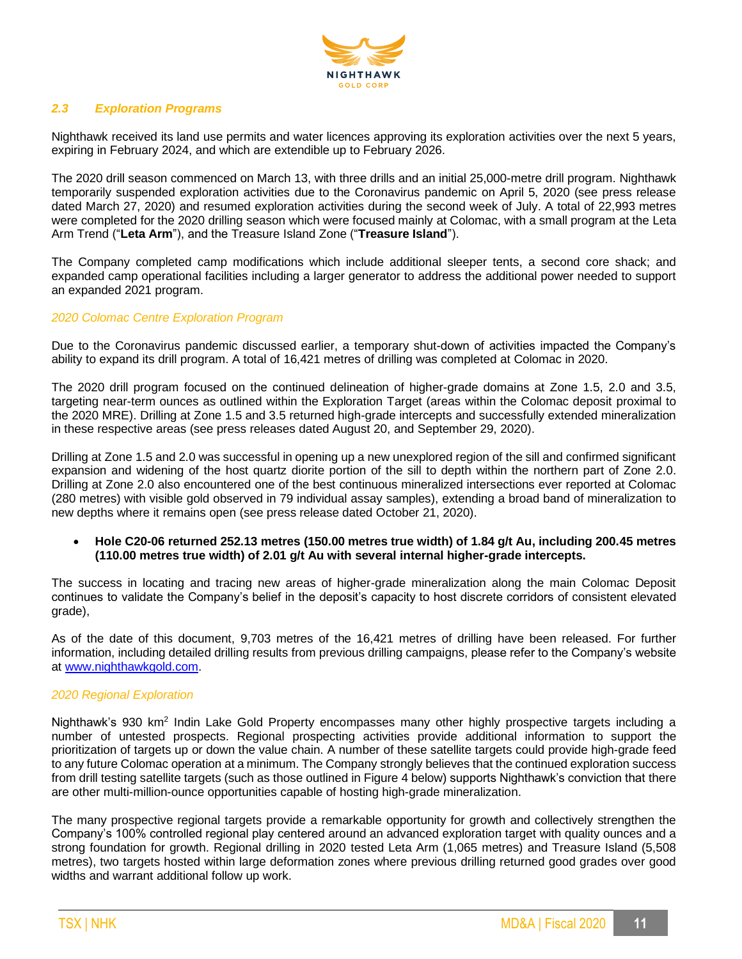

# *2.3 Exploration Programs*

Nighthawk received its land use permits and water licences approving its exploration activities over the next 5 years, expiring in February 2024, and which are extendible up to February 2026.

The 2020 drill season commenced on March 13, with three drills and an initial 25,000-metre drill program. Nighthawk temporarily suspended exploration activities due to the Coronavirus pandemic on April 5, 2020 (see press release dated March 27, 2020) and resumed exploration activities during the second week of July. A total of 22,993 metres were completed for the 2020 drilling season which were focused mainly at Colomac, with a small program at the Leta Arm Trend ("**Leta Arm**"), and the Treasure Island Zone ("**Treasure Island**").

The Company completed camp modifications which include additional sleeper tents, a second core shack; and expanded camp operational facilities including a larger generator to address the additional power needed to support an expanded 2021 program.

## *2020 Colomac Centre Exploration Program*

Due to the Coronavirus pandemic discussed earlier, a temporary shut-down of activities impacted the Company's ability to expand its drill program. A total of 16,421 metres of drilling was completed at Colomac in 2020.

The 2020 drill program focused on the continued delineation of higher-grade domains at Zone 1.5, 2.0 and 3.5, targeting near-term ounces as outlined within the Exploration Target (areas within the Colomac deposit proximal to the 2020 MRE). Drilling at Zone 1.5 and 3.5 returned high-grade intercepts and successfully extended mineralization in these respective areas (see press releases dated August 20, and September 29, 2020).

Drilling at Zone 1.5 and 2.0 was successful in opening up a new unexplored region of the sill and confirmed significant expansion and widening of the host quartz diorite portion of the sill to depth within the northern part of Zone 2.0. Drilling at Zone 2.0 also encountered one of the best continuous mineralized intersections ever reported at Colomac (280 metres) with visible gold observed in 79 individual assay samples), extending a broad band of mineralization to new depths where it remains open (see press release dated October 21, 2020).

#### • **Hole C20-06 returned 252.13 metres (150.00 metres true width) of 1.84 g/t Au, including 200.45 metres (110.00 metres true width) of 2.01 g/t Au with several internal higher-grade intercepts.**

The success in locating and tracing new areas of higher-grade mineralization along the main Colomac Deposit continues to validate the Company's belief in the deposit's capacity to host discrete corridors of consistent elevated grade),

As of the date of this document, 9,703 metres of the 16,421 metres of drilling have been released. For further information, including detailed drilling results from previous drilling campaigns, please refer to the Company's website at [www.nighthawkgold.com.](http://www.nighthawkgold.com/)

## *2020 Regional Exploration*

Nighthawk's 930 km<sup>2</sup> Indin Lake Gold Property encompasses many other highly prospective targets including a number of untested prospects. Regional prospecting activities provide additional information to support the prioritization of targets up or down the value chain. A number of these satellite targets could provide high-grade feed to any future Colomac operation at a minimum. The Company strongly believes that the continued exploration success from drill testing satellite targets (such as those outlined in Figure 4 below) supports Nighthawk's conviction that there are other multi-million-ounce opportunities capable of hosting high-grade mineralization.

The many prospective regional targets provide a remarkable opportunity for growth and collectively strengthen the Company's 100% controlled regional play centered around an advanced exploration target with quality ounces and a strong foundation for growth. Regional drilling in 2020 tested Leta Arm (1,065 metres) and Treasure Island (5,508 metres), two targets hosted within large deformation zones where previous drilling returned good grades over good widths and warrant additional follow up work.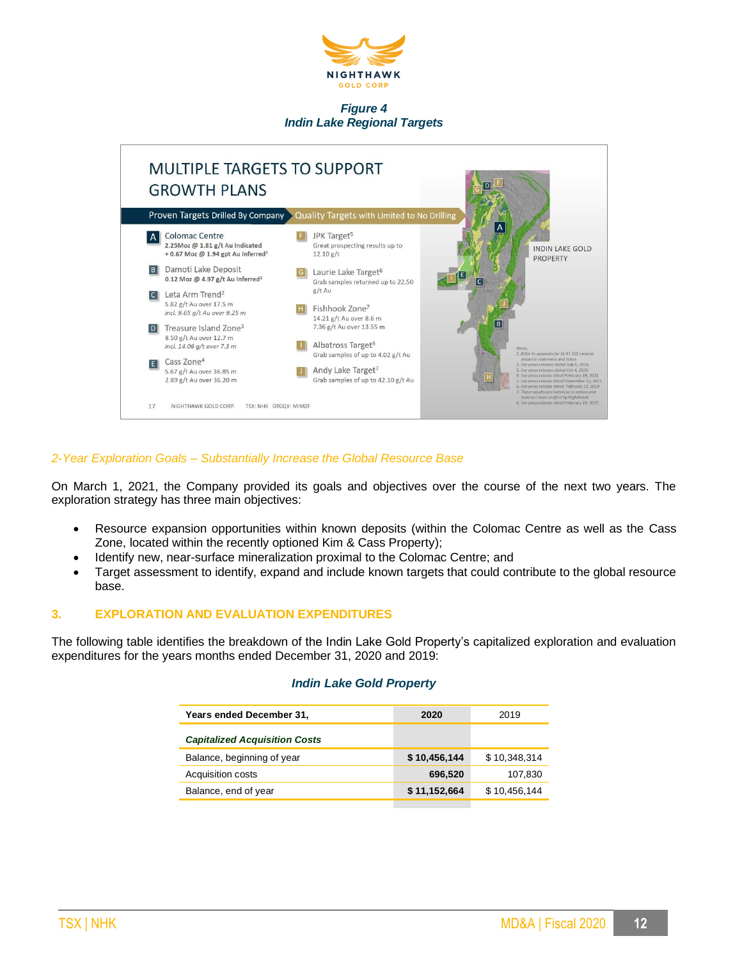

#### *Figure 4 Indin Lake Regional Targets*



## *2-Year Exploration Goals – Substantially Increase the Global Resource Base*

On March 1, 2021, the Company provided its goals and objectives over the course of the next two years. The exploration strategy has three main objectives:

- Resource expansion opportunities within known deposits (within the Colomac Centre as well as the Cass Zone, located within the recently optioned Kim & Cass Property);
- Identify new, near-surface mineralization proximal to the Colomac Centre; and
- Target assessment to identify, expand and include known targets that could contribute to the global resource base.

## **3. EXPLORATION AND EVALUATION EXPENDITURES**

The following table identifies the breakdown of the Indin Lake Gold Property's capitalized exploration and evaluation expenditures for the years months ended December 31, 2020 and 2019:

## *Indin Lake Gold Property*

| Years ended December 31,             | 2020         | 2019         |
|--------------------------------------|--------------|--------------|
| <b>Capitalized Acquisition Costs</b> |              |              |
| Balance, beginning of year           | \$10,456,144 | \$10.348.314 |
| Acquisition costs                    | 696.520      | 107.830      |
| Balance, end of year                 | \$11,152,664 | \$10.456.144 |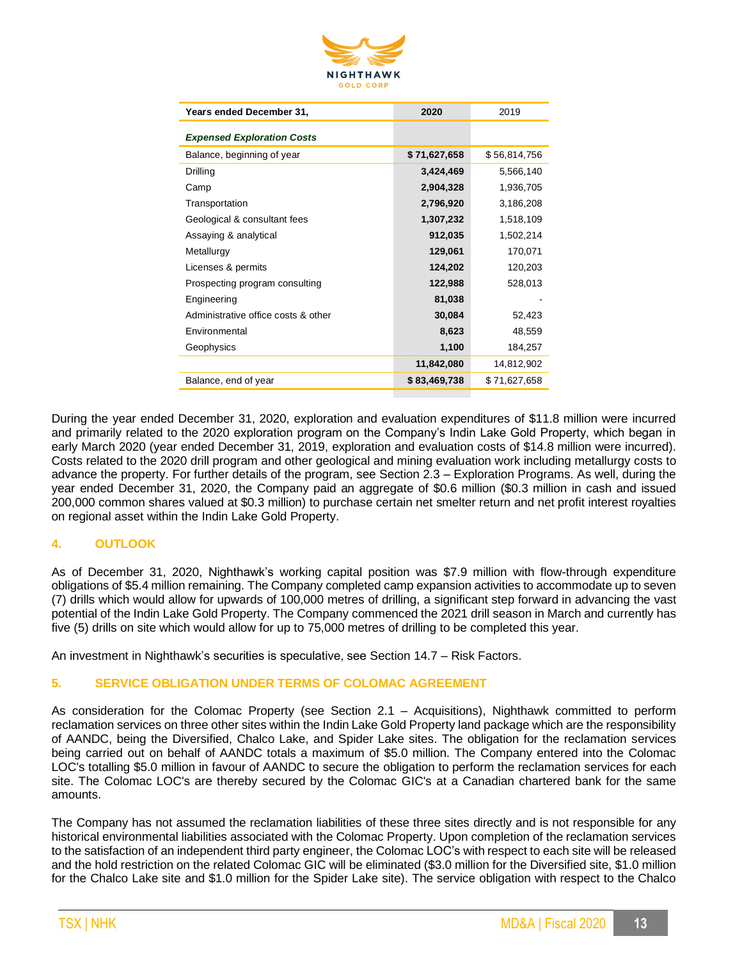

| Years ended December 31,            | 2020         | 2019         |
|-------------------------------------|--------------|--------------|
| <b>Expensed Exploration Costs</b>   |              |              |
| Balance, beginning of year          | \$71,627,658 | \$56,814,756 |
| Drilling                            | 3,424,469    | 5,566,140    |
| Camp                                | 2,904,328    | 1,936,705    |
| Transportation                      | 2,796,920    | 3,186,208    |
| Geological & consultant fees        | 1,307,232    | 1,518,109    |
| Assaying & analytical               | 912,035      | 1,502,214    |
| Metallurgy                          | 129,061      | 170,071      |
| Licenses & permits                  | 124,202      | 120,203      |
| Prospecting program consulting      | 122,988      | 528,013      |
| Engineering                         | 81,038       |              |
| Administrative office costs & other | 30,084       | 52,423       |
| Environmental                       | 8,623        | 48,559       |
| Geophysics                          | 1,100        | 184,257      |
|                                     | 11,842,080   | 14,812,902   |
| Balance, end of year                | \$83,469,738 | \$71,627,658 |

During the year ended December 31, 2020, exploration and evaluation expenditures of \$11.8 million were incurred and primarily related to the 2020 exploration program on the Company's Indin Lake Gold Property, which began in early March 2020 (year ended December 31, 2019, exploration and evaluation costs of \$14.8 million were incurred). Costs related to the 2020 drill program and other geological and mining evaluation work including metallurgy costs to advance the property. For further details of the program, see Section 2.3 – Exploration Programs. As well, during the year ended December 31, 2020, the Company paid an aggregate of \$0.6 million (\$0.3 million in cash and issued 200,000 common shares valued at \$0.3 million) to purchase certain net smelter return and net profit interest royalties on regional asset within the Indin Lake Gold Property.

## **4. OUTLOOK**

As of December 31, 2020, Nighthawk's working capital position was \$7.9 million with flow-through expenditure obligations of \$5.4 million remaining. The Company completed camp expansion activities to accommodate up to seven (7) drills which would allow for upwards of 100,000 metres of drilling, a significant step forward in advancing the vast potential of the Indin Lake Gold Property. The Company commenced the 2021 drill season in March and currently has five (5) drills on site which would allow for up to 75,000 metres of drilling to be completed this year.

An investment in Nighthawk's securities is speculative, see Section 14.7 – Risk Factors.

## **5. SERVICE OBLIGATION UNDER TERMS OF COLOMAC AGREEMENT**

As consideration for the Colomac Property (see Section 2.1 – Acquisitions), Nighthawk committed to perform reclamation services on three other sites within the Indin Lake Gold Property land package which are the responsibility of AANDC, being the Diversified, Chalco Lake, and Spider Lake sites. The obligation for the reclamation services being carried out on behalf of AANDC totals a maximum of \$5.0 million. The Company entered into the Colomac LOC's totalling \$5.0 million in favour of AANDC to secure the obligation to perform the reclamation services for each site. The Colomac LOC's are thereby secured by the Colomac GIC's at a Canadian chartered bank for the same amounts.

The Company has not assumed the reclamation liabilities of these three sites directly and is not responsible for any historical environmental liabilities associated with the Colomac Property. Upon completion of the reclamation services to the satisfaction of an independent third party engineer, the Colomac LOC's with respect to each site will be released and the hold restriction on the related Colomac GIC will be eliminated (\$3.0 million for the Diversified site, \$1.0 million for the Chalco Lake site and \$1.0 million for the Spider Lake site). The service obligation with respect to the Chalco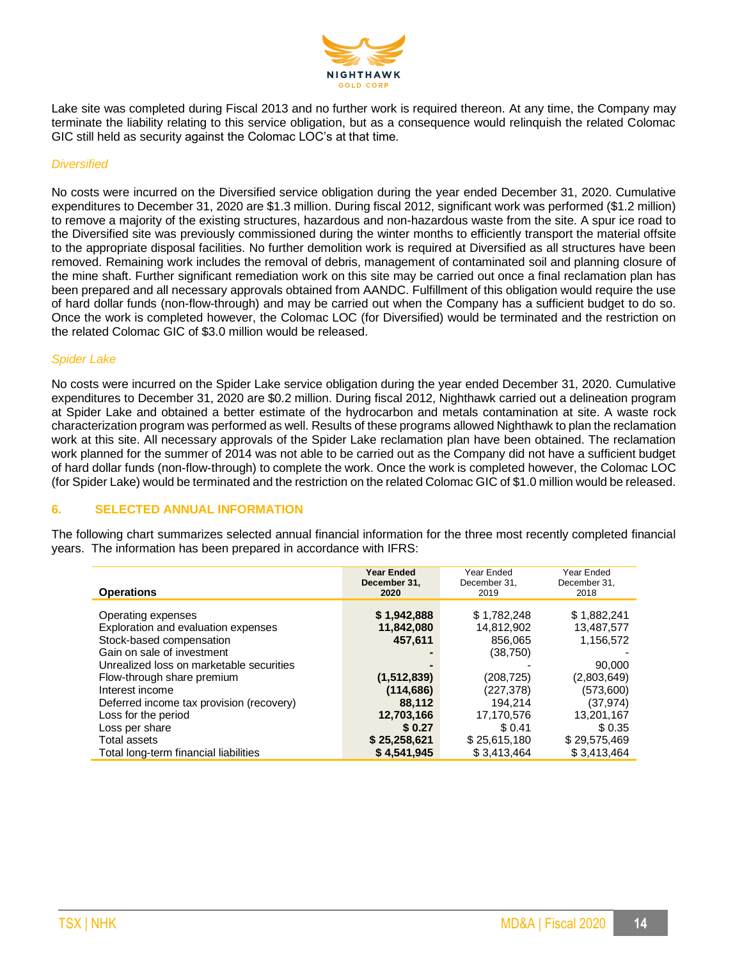

Lake site was completed during Fiscal 2013 and no further work is required thereon. At any time, the Company may terminate the liability relating to this service obligation, but as a consequence would relinquish the related Colomac GIC still held as security against the Colomac LOC's at that time.

#### *Diversified*

No costs were incurred on the Diversified service obligation during the year ended December 31, 2020. Cumulative expenditures to December 31, 2020 are \$1.3 million. During fiscal 2012, significant work was performed (\$1.2 million) to remove a majority of the existing structures, hazardous and non-hazardous waste from the site. A spur ice road to the Diversified site was previously commissioned during the winter months to efficiently transport the material offsite to the appropriate disposal facilities. No further demolition work is required at Diversified as all structures have been removed. Remaining work includes the removal of debris, management of contaminated soil and planning closure of the mine shaft. Further significant remediation work on this site may be carried out once a final reclamation plan has been prepared and all necessary approvals obtained from AANDC. Fulfillment of this obligation would require the use of hard dollar funds (non-flow-through) and may be carried out when the Company has a sufficient budget to do so. Once the work is completed however, the Colomac LOC (for Diversified) would be terminated and the restriction on the related Colomac GIC of \$3.0 million would be released.

## *Spider Lake*

No costs were incurred on the Spider Lake service obligation during the year ended December 31, 2020. Cumulative expenditures to December 31, 2020 are \$0.2 million. During fiscal 2012, Nighthawk carried out a delineation program at Spider Lake and obtained a better estimate of the hydrocarbon and metals contamination at site. A waste rock characterization program was performed as well. Results of these programs allowed Nighthawk to plan the reclamation work at this site. All necessary approvals of the Spider Lake reclamation plan have been obtained. The reclamation work planned for the summer of 2014 was not able to be carried out as the Company did not have a sufficient budget of hard dollar funds (non-flow-through) to complete the work. Once the work is completed however, the Colomac LOC (for Spider Lake) would be terminated and the restriction on the related Colomac GIC of \$1.0 million would be released.

## **6. SELECTED ANNUAL INFORMATION**

The following chart summarizes selected annual financial information for the three most recently completed financial years. The information has been prepared in accordance with IFRS:

|                                            | Year Ended   | Year Ended   | Year Ended   |
|--------------------------------------------|--------------|--------------|--------------|
|                                            | December 31, | December 31, | December 31, |
| <b>Operations</b>                          | 2020         | 2019         | 2018         |
|                                            |              |              |              |
| Operating expenses                         | \$1,942,888  | \$1,782,248  | \$1,882,241  |
| <b>Exploration and evaluation expenses</b> | 11,842,080   | 14.812.902   | 13.487.577   |
| Stock-based compensation                   | 457,611      | 856,065      | 1,156,572    |
| Gain on sale of investment                 |              | (38,750)     |              |
| Unrealized loss on marketable securities   |              |              | 90,000       |
| Flow-through share premium                 | (1,512,839)  | (208,725)    | (2,803,649)  |
| Interest income                            | (114,686)    | (227,378)    | (573,600)    |
| Deferred income tax provision (recovery)   | 88.112       | 194.214      | (37,974)     |
| Loss for the period                        | 12,703,166   | 17,170,576   | 13,201,167   |
| Loss per share                             | \$0.27       | \$ 0.41      | \$ 0.35      |
| Total assets                               | \$25,258,621 | \$25,615,180 | \$29,575,469 |
| Total long-term financial liabilities      | \$4.541.945  | \$3.413.464  | \$3.413.464  |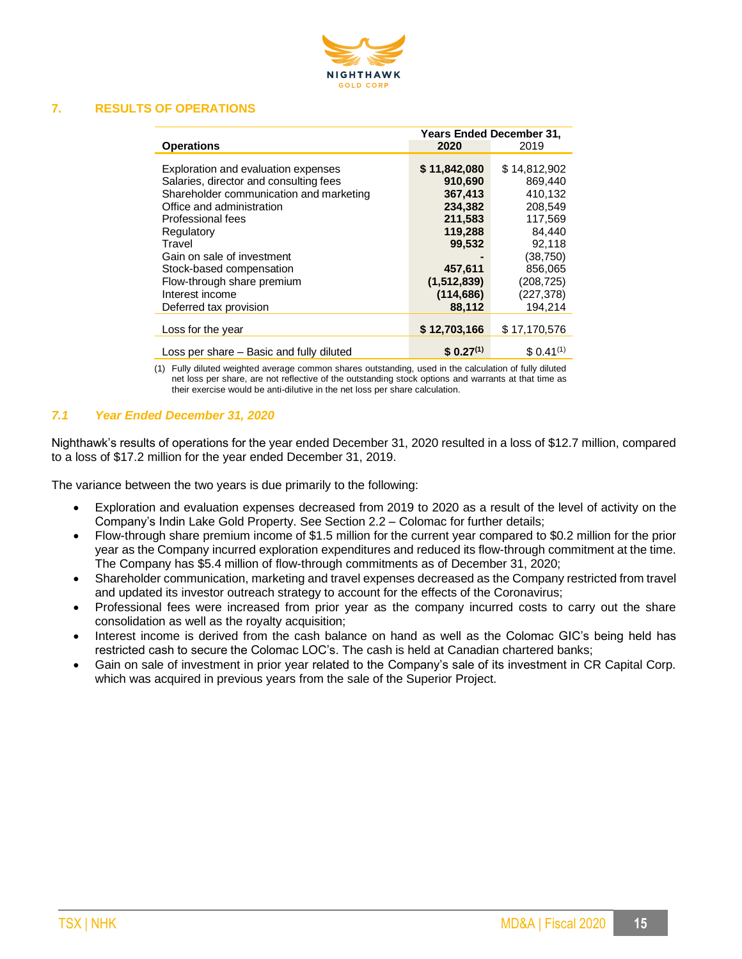

## **7. RESULTS OF OPERATIONS**

|                                                                                                                                                                                                                                                                                                               | <b>Years Ended December 31,</b>                                                                                       |                                                                                                                                  |  |  |
|---------------------------------------------------------------------------------------------------------------------------------------------------------------------------------------------------------------------------------------------------------------------------------------------------------------|-----------------------------------------------------------------------------------------------------------------------|----------------------------------------------------------------------------------------------------------------------------------|--|--|
| <b>Operations</b>                                                                                                                                                                                                                                                                                             | 2020                                                                                                                  | 2019                                                                                                                             |  |  |
| Exploration and evaluation expenses<br>Salaries, director and consulting fees<br>Shareholder communication and marketing<br>Office and administration<br>Professional fees<br>Regulatory<br>Travel<br>Gain on sale of investment<br>Stock-based compensation<br>Flow-through share premium<br>Interest income | \$11,842,080<br>910,690<br>367,413<br>234,382<br>211,583<br>119,288<br>99,532<br>457,611<br>(1,512,839)<br>(114, 686) | \$14,812,902<br>869.440<br>410.132<br>208,549<br>117,569<br>84.440<br>92,118<br>(38, 750)<br>856,065<br>(208, 725)<br>(227, 378) |  |  |
| Deferred tax provision                                                                                                                                                                                                                                                                                        | 88,112                                                                                                                | 194,214                                                                                                                          |  |  |
| Loss for the year                                                                                                                                                                                                                                                                                             | \$12,703,166                                                                                                          | \$17,170,576                                                                                                                     |  |  |
| Loss per share – Basic and fully diluted                                                                                                                                                                                                                                                                      | $$0.27^{(1)}$$                                                                                                        | $$0.41^{(1)}$                                                                                                                    |  |  |

(1) Fully diluted weighted average common shares outstanding, used in the calculation of fully diluted net loss per share, are not reflective of the outstanding stock options and warrants at that time as their exercise would be anti-dilutive in the net loss per share calculation.

# *7.1 Year Ended December 31, 2020*

Nighthawk's results of operations for the year ended December 31, 2020 resulted in a loss of \$12.7 million, compared to a loss of \$17.2 million for the year ended December 31, 2019.

The variance between the two years is due primarily to the following:

- Exploration and evaluation expenses decreased from 2019 to 2020 as a result of the level of activity on the Company's Indin Lake Gold Property. See Section 2.2 – Colomac for further details;
- Flow-through share premium income of \$1.5 million for the current year compared to \$0.2 million for the prior year as the Company incurred exploration expenditures and reduced its flow-through commitment at the time. The Company has \$5.4 million of flow-through commitments as of December 31, 2020;
- Shareholder communication, marketing and travel expenses decreased as the Company restricted from travel and updated its investor outreach strategy to account for the effects of the Coronavirus;
- Professional fees were increased from prior year as the company incurred costs to carry out the share consolidation as well as the royalty acquisition;
- Interest income is derived from the cash balance on hand as well as the Colomac GIC's being held has restricted cash to secure the Colomac LOC's. The cash is held at Canadian chartered banks;
- Gain on sale of investment in prior year related to the Company's sale of its investment in CR Capital Corp. which was acquired in previous years from the sale of the Superior Project.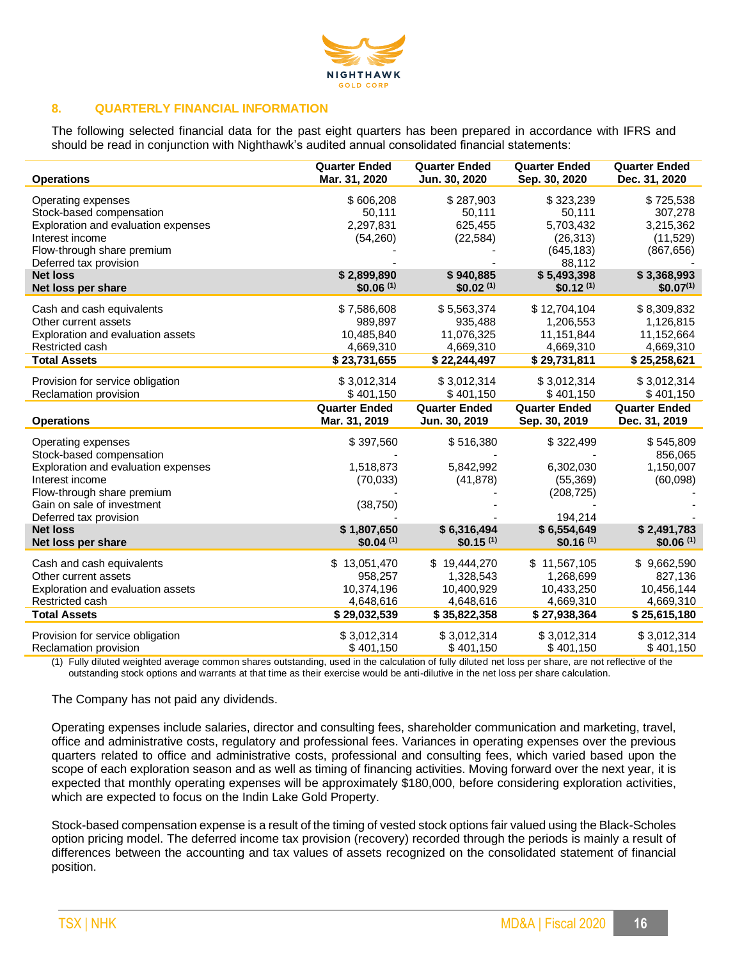

## **8. QUARTERLY FINANCIAL INFORMATION**

The following selected financial data for the past eight quarters has been prepared in accordance with IFRS and should be read in conjunction with Nighthawk's audited annual consolidated financial statements:

| <b>Operations</b>                                                                                        | <b>Quarter Ended</b>               | <b>Quarter Ended</b>                | <b>Quarter Ended</b>                | <b>Quarter Ended</b>                          |
|----------------------------------------------------------------------------------------------------------|------------------------------------|-------------------------------------|-------------------------------------|-----------------------------------------------|
|                                                                                                          | Mar. 31, 2020                      | Jun. 30, 2020                       | Sep. 30, 2020                       | Dec. 31, 2020                                 |
| Operating expenses                                                                                       | \$606,208                          | \$287,903                           | \$323,239                           | \$725,538                                     |
| Stock-based compensation                                                                                 | 50,111                             | 50,111                              | 50,111                              | 307,278                                       |
| Exploration and evaluation expenses                                                                      | 2,297,831                          | 625,455                             | 5,703,432                           | 3,215,362                                     |
| Interest income<br>Flow-through share premium<br>Deferred tax provision                                  | (54,260)                           | (22, 584)                           | (26, 313)<br>(645, 183)<br>88,112   | (11,529)<br>(867, 656)                        |
| <b>Net loss</b>                                                                                          | \$2,899,890                        | \$940,885                           | \$5,493,398                         | \$3,368,993                                   |
| Net loss per share                                                                                       | $$0.06$ <sup>(1)</sup>             | \$0.02 <sup>(1)</sup>               | $$0.12^{(1)}$$                      | $$0.07^{(1)}$                                 |
| Cash and cash equivalents                                                                                | \$7,586,608                        | \$5,563,374                         | \$12,704,104                        | \$8,309,832                                   |
| Other current assets                                                                                     | 989,897                            | 935,488                             | 1,206,553                           | 1,126,815                                     |
| Exploration and evaluation assets                                                                        | 10,485,840                         | 11,076,325                          | 11,151,844                          | 11,152,664                                    |
| Restricted cash                                                                                          | 4,669,310                          | 4,669,310                           | 4,669,310                           | 4,669,310                                     |
| <b>Total Assets</b>                                                                                      | \$23,731,655                       | \$22,244,497                        | \$29,731,811                        | \$25,258,621                                  |
| Provision for service obligation                                                                         | \$3,012,314                        | \$3,012,314                         | \$3,012,314                         | \$3,012,314                                   |
| Reclamation provision                                                                                    | \$401,150                          | \$401,150                           | \$401,150                           | \$401,150                                     |
| <b>Operations</b>                                                                                        | <b>Quarter Ended</b>               | <b>Quarter Ended</b>                | <b>Quarter Ended</b>                | <b>Quarter Ended</b>                          |
|                                                                                                          | Mar. 31, 2019                      | Jun. 30, 2019                       | Sep. 30, 2019                       | Dec. 31, 2019                                 |
| Operating expenses<br>Stock-based compensation<br>Exploration and evaluation expenses<br>Interest income | \$397,560<br>1,518,873<br>(70,033) | \$516,380<br>5,842,992<br>(41, 878) | \$322,499<br>6,302,030<br>(55, 369) | \$545,809<br>856,065<br>1,150,007<br>(60,098) |
| Flow-through share premium<br>Gain on sale of investment<br>Deferred tax provision                       | (38, 750)                          |                                     | (208, 725)<br>194.214               |                                               |
| <b>Net loss</b>                                                                                          | \$1,807,650                        | \$6,316,494                         | \$6,554,649                         | \$2,491,783                                   |
| Net loss per share                                                                                       | $$0.04$ (1)                        | $$0.15^{(1)}$$                      | \$0.16(1)                           | \$0.06(1)                                     |
| Cash and cash equivalents                                                                                | \$13,051,470                       | \$19,444,270                        | \$11,567,105                        | \$9,662,590                                   |
| Other current assets                                                                                     | 958,257                            | 1,328,543                           | 1,268,699                           | 827,136                                       |
| Exploration and evaluation assets                                                                        | 10,374,196                         | 10,400,929                          | 10,433,250                          | 10,456,144                                    |
| Restricted cash                                                                                          | 4,648,616                          | 4,648,616                           | 4,669,310                           | 4,669,310                                     |
| <b>Total Assets</b>                                                                                      | \$29,032,539                       | \$35,822,358                        | \$27,938,364                        | \$25,615,180                                  |
| Provision for service obligation                                                                         | \$3,012,314                        | \$3,012,314                         | \$3,012,314                         | \$3,012,314                                   |
| Reclamation provision                                                                                    | \$401,150                          | \$401,150                           | \$401,150                           | \$401,150                                     |

(1) Fully diluted weighted average common shares outstanding, used in the calculation of fully diluted net loss per share, are not reflective of the outstanding stock options and warrants at that time as their exercise would be anti-dilutive in the net loss per share calculation.

The Company has not paid any dividends.

Operating expenses include salaries, director and consulting fees, shareholder communication and marketing, travel, office and administrative costs, regulatory and professional fees. Variances in operating expenses over the previous quarters related to office and administrative costs, professional and consulting fees, which varied based upon the scope of each exploration season and as well as timing of financing activities. Moving forward over the next year, it is expected that monthly operating expenses will be approximately \$180,000, before considering exploration activities, which are expected to focus on the Indin Lake Gold Property.

Stock-based compensation expense is a result of the timing of vested stock options fair valued using the Black-Scholes option pricing model. The deferred income tax provision (recovery) recorded through the periods is mainly a result of differences between the accounting and tax values of assets recognized on the consolidated statement of financial position.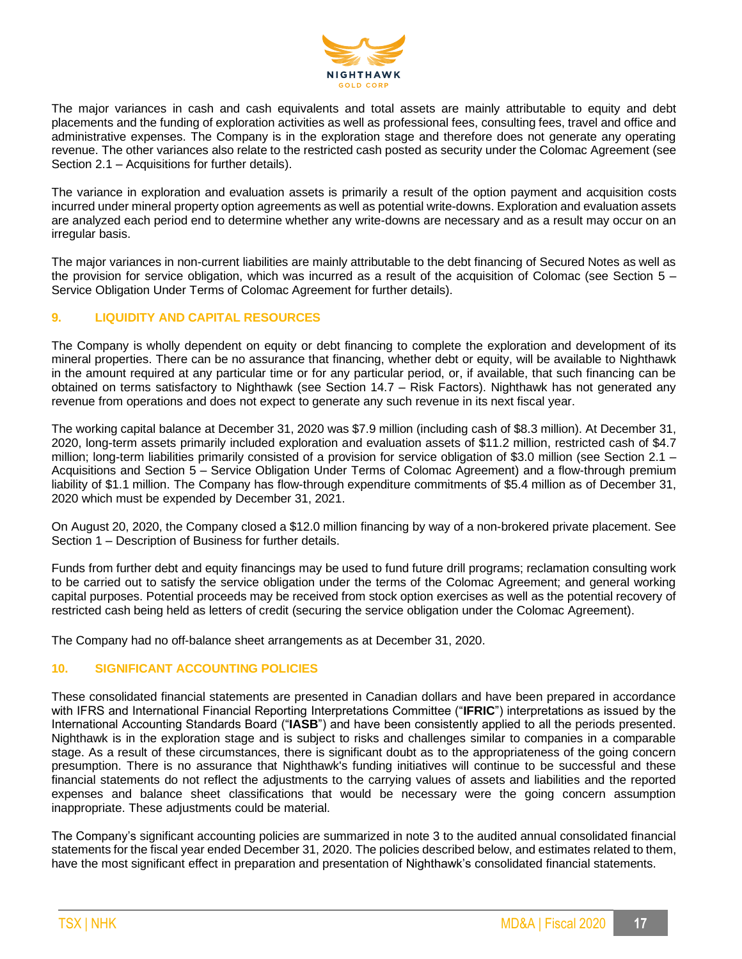

The major variances in cash and cash equivalents and total assets are mainly attributable to equity and debt placements and the funding of exploration activities as well as professional fees, consulting fees, travel and office and administrative expenses. The Company is in the exploration stage and therefore does not generate any operating revenue. The other variances also relate to the restricted cash posted as security under the Colomac Agreement (see Section 2.1 – Acquisitions for further details).

The variance in exploration and evaluation assets is primarily a result of the option payment and acquisition costs incurred under mineral property option agreements as well as potential write-downs. Exploration and evaluation assets are analyzed each period end to determine whether any write-downs are necessary and as a result may occur on an irregular basis.

The major variances in non-current liabilities are mainly attributable to the debt financing of Secured Notes as well as the provision for service obligation, which was incurred as a result of the acquisition of Colomac (see Section 5 – Service Obligation Under Terms of Colomac Agreement for further details).

# **9. LIQUIDITY AND CAPITAL RESOURCES**

The Company is wholly dependent on equity or debt financing to complete the exploration and development of its mineral properties. There can be no assurance that financing, whether debt or equity, will be available to Nighthawk in the amount required at any particular time or for any particular period, or, if available, that such financing can be obtained on terms satisfactory to Nighthawk (see Section 14.7 – Risk Factors). Nighthawk has not generated any revenue from operations and does not expect to generate any such revenue in its next fiscal year.

The working capital balance at December 31, 2020 was \$7.9 million (including cash of \$8.3 million). At December 31, 2020, long-term assets primarily included exploration and evaluation assets of \$11.2 million, restricted cash of \$4.7 million; long-term liabilities primarily consisted of a provision for service obligation of \$3.0 million (see Section 2.1 – Acquisitions and Section 5 – Service Obligation Under Terms of Colomac Agreement) and a flow-through premium liability of \$1.1 million. The Company has flow-through expenditure commitments of \$5.4 million as of December 31, 2020 which must be expended by December 31, 2021.

On August 20, 2020, the Company closed a \$12.0 million financing by way of a non-brokered private placement. See Section 1 – Description of Business for further details.

Funds from further debt and equity financings may be used to fund future drill programs; reclamation consulting work to be carried out to satisfy the service obligation under the terms of the Colomac Agreement; and general working capital purposes. Potential proceeds may be received from stock option exercises as well as the potential recovery of restricted cash being held as letters of credit (securing the service obligation under the Colomac Agreement).

The Company had no off-balance sheet arrangements as at December 31, 2020.

## **10. SIGNIFICANT ACCOUNTING POLICIES**

These consolidated financial statements are presented in Canadian dollars and have been prepared in accordance with IFRS and International Financial Reporting Interpretations Committee ("**IFRIC**") interpretations as issued by the International Accounting Standards Board ("**IASB**") and have been consistently applied to all the periods presented. Nighthawk is in the exploration stage and is subject to risks and challenges similar to companies in a comparable stage. As a result of these circumstances, there is significant doubt as to the appropriateness of the going concern presumption. There is no assurance that Nighthawk's funding initiatives will continue to be successful and these financial statements do not reflect the adjustments to the carrying values of assets and liabilities and the reported expenses and balance sheet classifications that would be necessary were the going concern assumption inappropriate. These adjustments could be material.

The Company's significant accounting policies are summarized in note 3 to the audited annual consolidated financial statements for the fiscal year ended December 31, 2020. The policies described below, and estimates related to them, have the most significant effect in preparation and presentation of Nighthawk's consolidated financial statements.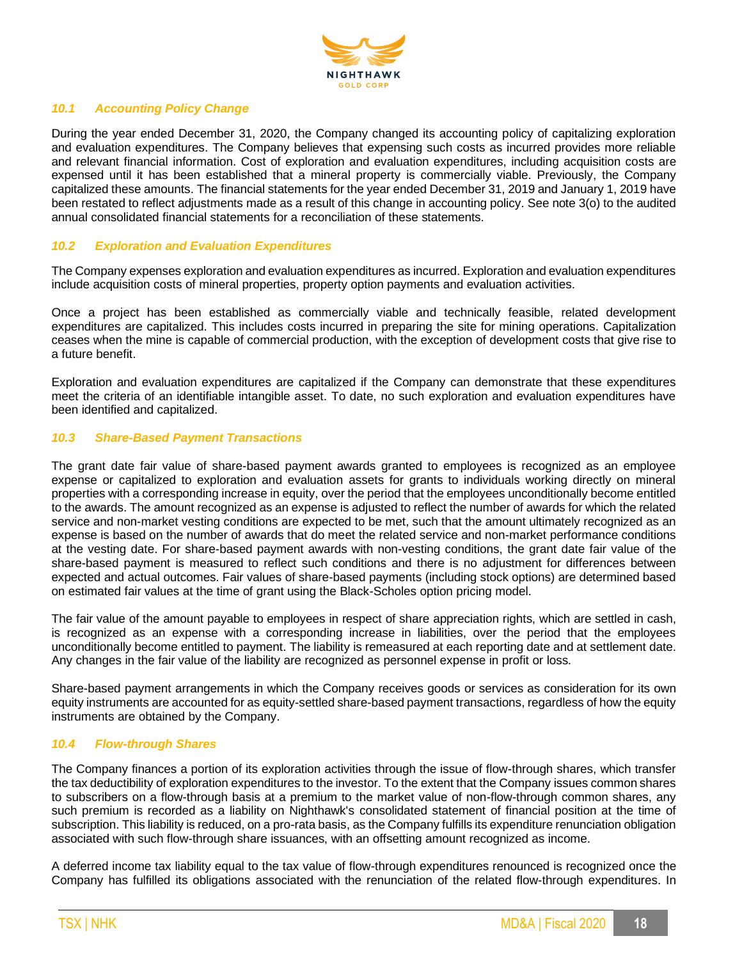

## *10.1 Accounting Policy Change*

During the year ended December 31, 2020, the Company changed its accounting policy of capitalizing exploration and evaluation expenditures. The Company believes that expensing such costs as incurred provides more reliable and relevant financial information. Cost of exploration and evaluation expenditures, including acquisition costs are expensed until it has been established that a mineral property is commercially viable. Previously, the Company capitalized these amounts. The financial statements for the year ended December 31, 2019 and January 1, 2019 have been restated to reflect adjustments made as a result of this change in accounting policy. See note 3(o) to the audited annual consolidated financial statements for a reconciliation of these statements.

## *10.2 Exploration and Evaluation Expenditures*

The Company expenses exploration and evaluation expenditures as incurred. Exploration and evaluation expenditures include acquisition costs of mineral properties, property option payments and evaluation activities.

Once a project has been established as commercially viable and technically feasible, related development expenditures are capitalized. This includes costs incurred in preparing the site for mining operations. Capitalization ceases when the mine is capable of commercial production, with the exception of development costs that give rise to a future benefit.

Exploration and evaluation expenditures are capitalized if the Company can demonstrate that these expenditures meet the criteria of an identifiable intangible asset. To date, no such exploration and evaluation expenditures have been identified and capitalized.

## *10.3 Share-Based Payment Transactions*

The grant date fair value of share-based payment awards granted to employees is recognized as an employee expense or capitalized to exploration and evaluation assets for grants to individuals working directly on mineral properties with a corresponding increase in equity, over the period that the employees unconditionally become entitled to the awards. The amount recognized as an expense is adjusted to reflect the number of awards for which the related service and non-market vesting conditions are expected to be met, such that the amount ultimately recognized as an expense is based on the number of awards that do meet the related service and non-market performance conditions at the vesting date. For share-based payment awards with non-vesting conditions, the grant date fair value of the share-based payment is measured to reflect such conditions and there is no adjustment for differences between expected and actual outcomes. Fair values of share-based payments (including stock options) are determined based on estimated fair values at the time of grant using the Black-Scholes option pricing model.

The fair value of the amount payable to employees in respect of share appreciation rights, which are settled in cash, is recognized as an expense with a corresponding increase in liabilities, over the period that the employees unconditionally become entitled to payment. The liability is remeasured at each reporting date and at settlement date. Any changes in the fair value of the liability are recognized as personnel expense in profit or loss.

Share-based payment arrangements in which the Company receives goods or services as consideration for its own equity instruments are accounted for as equity-settled share-based payment transactions, regardless of how the equity instruments are obtained by the Company.

## *10.4 Flow-through Shares*

The Company finances a portion of its exploration activities through the issue of flow-through shares, which transfer the tax deductibility of exploration expenditures to the investor. To the extent that the Company issues common shares to subscribers on a flow-through basis at a premium to the market value of non-flow-through common shares, any such premium is recorded as a liability on Nighthawk's consolidated statement of financial position at the time of subscription. This liability is reduced, on a pro-rata basis, as the Company fulfills its expenditure renunciation obligation associated with such flow-through share issuances, with an offsetting amount recognized as income.

A deferred income tax liability equal to the tax value of flow-through expenditures renounced is recognized once the Company has fulfilled its obligations associated with the renunciation of the related flow-through expenditures. In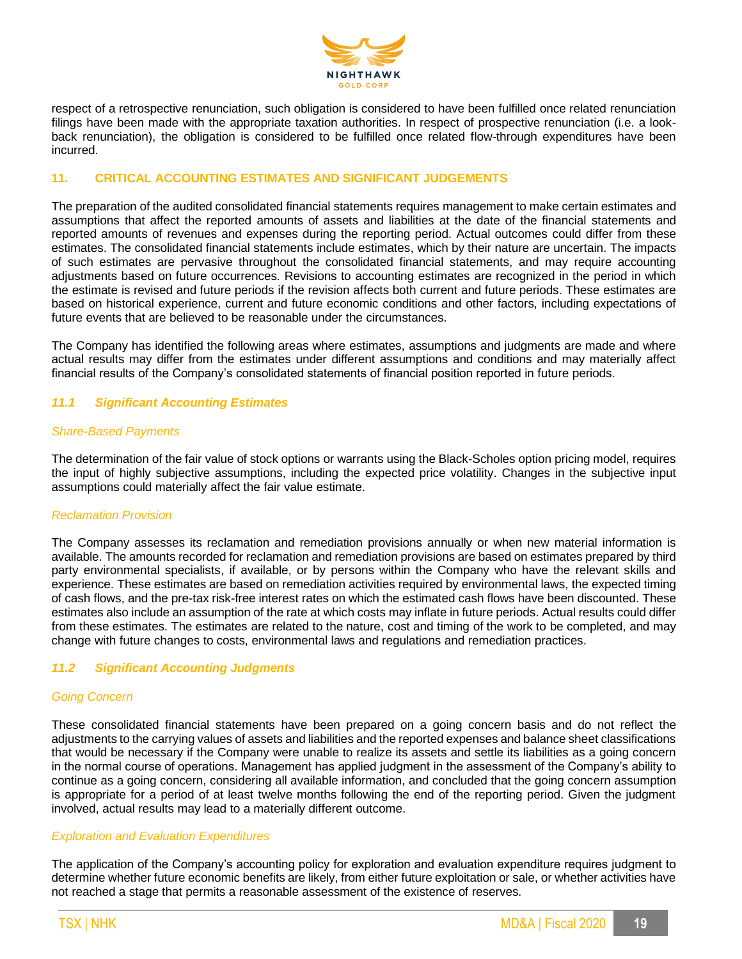

respect of a retrospective renunciation, such obligation is considered to have been fulfilled once related renunciation filings have been made with the appropriate taxation authorities. In respect of prospective renunciation (i.e. a lookback renunciation), the obligation is considered to be fulfilled once related flow-through expenditures have been incurred.

## **11. CRITICAL ACCOUNTING ESTIMATES AND SIGNIFICANT JUDGEMENTS**

The preparation of the audited consolidated financial statements requires management to make certain estimates and assumptions that affect the reported amounts of assets and liabilities at the date of the financial statements and reported amounts of revenues and expenses during the reporting period. Actual outcomes could differ from these estimates. The consolidated financial statements include estimates, which by their nature are uncertain. The impacts of such estimates are pervasive throughout the consolidated financial statements, and may require accounting adjustments based on future occurrences. Revisions to accounting estimates are recognized in the period in which the estimate is revised and future periods if the revision affects both current and future periods. These estimates are based on historical experience, current and future economic conditions and other factors, including expectations of future events that are believed to be reasonable under the circumstances.

The Company has identified the following areas where estimates, assumptions and judgments are made and where actual results may differ from the estimates under different assumptions and conditions and may materially affect financial results of the Company's consolidated statements of financial position reported in future periods.

## *11.1 Significant Accounting Estimates*

## *Share-Based Payments*

The determination of the fair value of stock options or warrants using the Black-Scholes option pricing model, requires the input of highly subjective assumptions, including the expected price volatility. Changes in the subjective input assumptions could materially affect the fair value estimate.

## *Reclamation Provision*

The Company assesses its reclamation and remediation provisions annually or when new material information is available. The amounts recorded for reclamation and remediation provisions are based on estimates prepared by third party environmental specialists, if available, or by persons within the Company who have the relevant skills and experience. These estimates are based on remediation activities required by environmental laws, the expected timing of cash flows, and the pre-tax risk-free interest rates on which the estimated cash flows have been discounted. These estimates also include an assumption of the rate at which costs may inflate in future periods. Actual results could differ from these estimates. The estimates are related to the nature, cost and timing of the work to be completed, and may change with future changes to costs, environmental laws and regulations and remediation practices.

## *11.2 Significant Accounting Judgments*

## *Going Concern*

These consolidated financial statements have been prepared on a going concern basis and do not reflect the adjustments to the carrying values of assets and liabilities and the reported expenses and balance sheet classifications that would be necessary if the Company were unable to realize its assets and settle its liabilities as a going concern in the normal course of operations. Management has applied judgment in the assessment of the Company's ability to continue as a going concern, considering all available information, and concluded that the going concern assumption is appropriate for a period of at least twelve months following the end of the reporting period. Given the judgment involved, actual results may lead to a materially different outcome.

## *Exploration and Evaluation Expenditures*

The application of the Company's accounting policy for exploration and evaluation expenditure requires judgment to determine whether future economic benefits are likely, from either future exploitation or sale, or whether activities have not reached a stage that permits a reasonable assessment of the existence of reserves.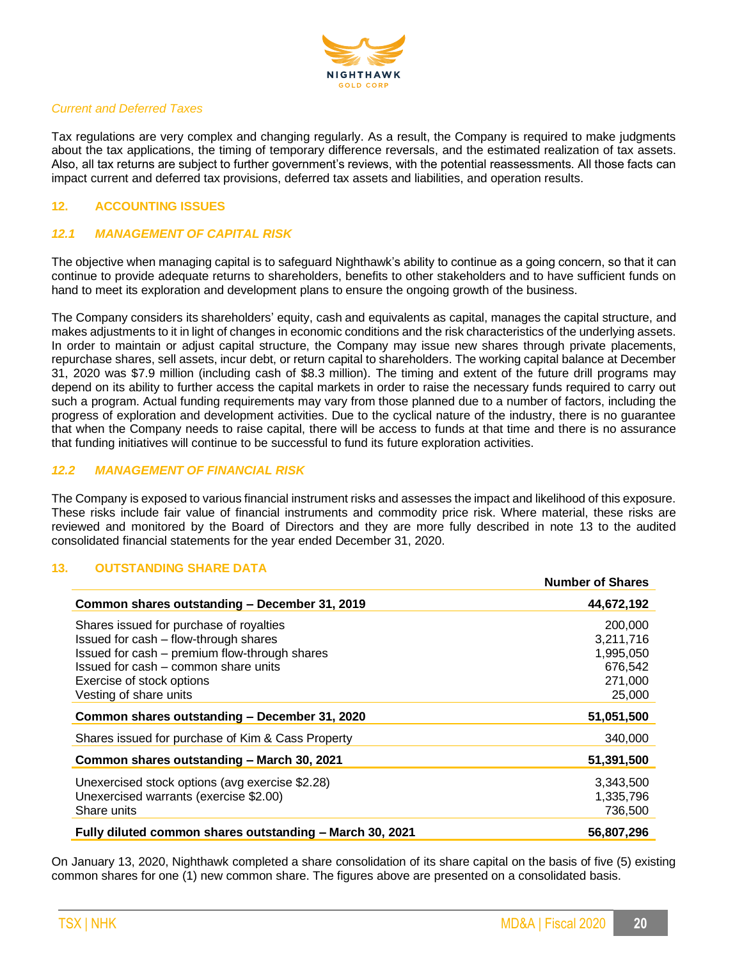

## *Current and Deferred Taxes*

Tax regulations are very complex and changing regularly. As a result, the Company is required to make judgments about the tax applications, the timing of temporary difference reversals, and the estimated realization of tax assets. Also, all tax returns are subject to further government's reviews, with the potential reassessments. All those facts can impact current and deferred tax provisions, deferred tax assets and liabilities, and operation results.

## **12. ACCOUNTING ISSUES**

## *12.1 MANAGEMENT OF CAPITAL RISK*

The objective when managing capital is to safeguard Nighthawk's ability to continue as a going concern, so that it can continue to provide adequate returns to shareholders, benefits to other stakeholders and to have sufficient funds on hand to meet its exploration and development plans to ensure the ongoing growth of the business.

The Company considers its shareholders' equity, cash and equivalents as capital, manages the capital structure, and makes adjustments to it in light of changes in economic conditions and the risk characteristics of the underlying assets. In order to maintain or adjust capital structure, the Company may issue new shares through private placements, repurchase shares, sell assets, incur debt, or return capital to shareholders. The working capital balance at December 31, 2020 was \$7.9 million (including cash of \$8.3 million). The timing and extent of the future drill programs may depend on its ability to further access the capital markets in order to raise the necessary funds required to carry out such a program. Actual funding requirements may vary from those planned due to a number of factors, including the progress of exploration and development activities. Due to the cyclical nature of the industry, there is no guarantee that when the Company needs to raise capital, there will be access to funds at that time and there is no assurance that funding initiatives will continue to be successful to fund its future exploration activities.

## *12.2 MANAGEMENT OF FINANCIAL RISK*

The Company is exposed to various financial instrument risks and assesses the impact and likelihood of this exposure. These risks include fair value of financial instruments and commodity price risk. Where material, these risks are reviewed and monitored by the Board of Directors and they are more fully described in note 13 to the audited consolidated financial statements for the year ended December 31, 2020.

## **13. OUTSTANDING SHARE DATA**

|                                                          | <b>Number of Shares</b> |
|----------------------------------------------------------|-------------------------|
| Common shares outstanding - December 31, 2019            | 44,672,192              |
| Shares issued for purchase of royalties                  | 200,000                 |
| Issued for cash - flow-through shares                    | 3,211,716               |
| Issued for cash - premium flow-through shares            | 1,995,050               |
| Issued for cash - common share units                     | 676,542                 |
| Exercise of stock options                                | 271,000                 |
| Vesting of share units                                   | 25,000                  |
| Common shares outstanding - December 31, 2020            | 51,051,500              |
| Shares issued for purchase of Kim & Cass Property        | 340,000                 |
| Common shares outstanding - March 30, 2021               | 51,391,500              |
| Unexercised stock options (avg exercise \$2.28)          | 3,343,500               |
| Unexercised warrants (exercise \$2.00)                   | 1,335,796               |
| Share units                                              | 736,500                 |
| Fully diluted common shares outstanding - March 30, 2021 | 56,807,296              |

On January 13, 2020, Nighthawk completed a share consolidation of its share capital on the basis of five (5) existing common shares for one (1) new common share. The figures above are presented on a consolidated basis.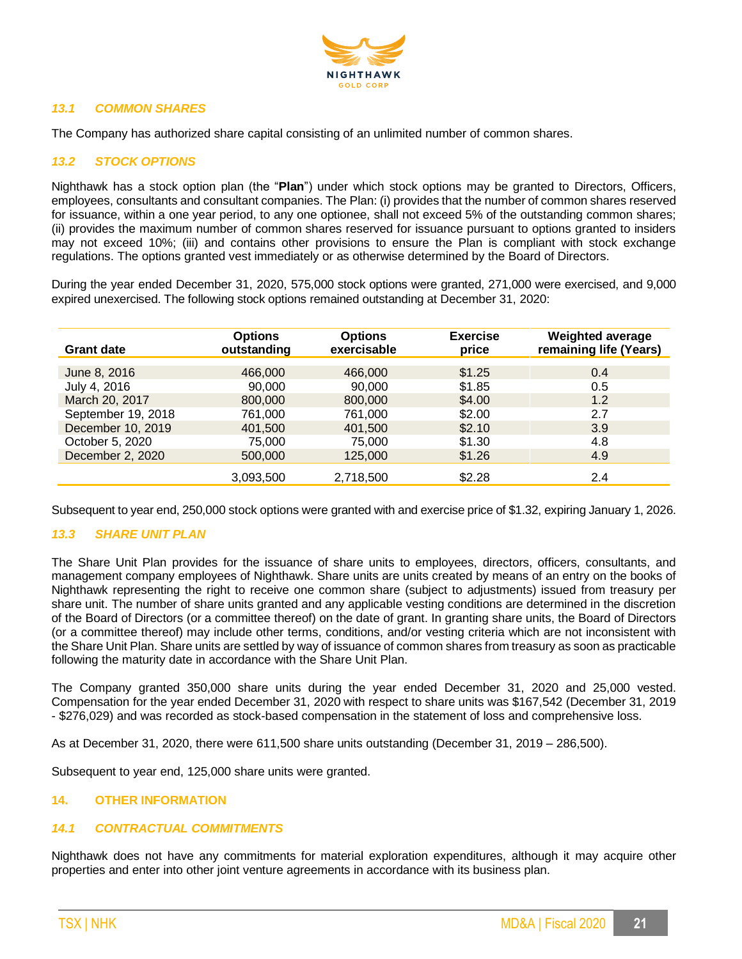

## *13.1 COMMON SHARES*

The Company has authorized share capital consisting of an unlimited number of common shares.

## *13.2 STOCK OPTIONS*

Nighthawk has a stock option plan (the "**Plan**") under which stock options may be granted to Directors, Officers, employees, consultants and consultant companies. The Plan: (i) provides that the number of common shares reserved for issuance, within a one year period, to any one optionee, shall not exceed 5% of the outstanding common shares; (ii) provides the maximum number of common shares reserved for issuance pursuant to options granted to insiders may not exceed 10%; (iii) and contains other provisions to ensure the Plan is compliant with stock exchange regulations. The options granted vest immediately or as otherwise determined by the Board of Directors.

During the year ended December 31, 2020, 575,000 stock options were granted, 271,000 were exercised, and 9,000 expired unexercised. The following stock options remained outstanding at December 31, 2020:

| <b>Grant date</b>  | <b>Options</b><br>outstanding | <b>Options</b><br>exercisable | <b>Exercise</b><br>price | Weighted average<br>remaining life (Years) |
|--------------------|-------------------------------|-------------------------------|--------------------------|--------------------------------------------|
| June 8, 2016       | 466,000                       | 466,000                       | \$1.25                   | 0.4                                        |
| July 4, 2016       | 90,000                        | 90,000                        | \$1.85                   | 0.5                                        |
| March 20, 2017     | 800,000                       | 800,000                       | \$4.00                   | 1.2                                        |
| September 19, 2018 | 761.000                       | 761,000                       | \$2.00                   | 2.7                                        |
| December 10, 2019  | 401,500                       | 401,500                       | \$2.10                   | 3.9                                        |
| October 5, 2020    | 75,000                        | 75,000                        | \$1.30                   | 4.8                                        |
| December 2, 2020   | 500,000                       | 125,000                       | \$1.26                   | 4.9                                        |
|                    | 3,093,500                     | 2,718,500                     | \$2.28                   | 2.4                                        |

Subsequent to year end, 250,000 stock options were granted with and exercise price of \$1.32, expiring January 1, 2026.

## *13.3 SHARE UNIT PLAN*

The Share Unit Plan provides for the issuance of share units to employees, directors, officers, consultants, and management company employees of Nighthawk. Share units are units created by means of an entry on the books of Nighthawk representing the right to receive one common share (subject to adjustments) issued from treasury per share unit. The number of share units granted and any applicable vesting conditions are determined in the discretion of the Board of Directors (or a committee thereof) on the date of grant. In granting share units, the Board of Directors (or a committee thereof) may include other terms, conditions, and/or vesting criteria which are not inconsistent with the Share Unit Plan. Share units are settled by way of issuance of common shares from treasury as soon as practicable following the maturity date in accordance with the Share Unit Plan.

The Company granted 350,000 share units during the year ended December 31, 2020 and 25,000 vested. Compensation for the year ended December 31, 2020 with respect to share units was \$167,542 (December 31, 2019 - \$276,029) and was recorded as stock-based compensation in the statement of loss and comprehensive loss.

As at December 31, 2020, there were 611,500 share units outstanding (December 31, 2019 – 286,500).

Subsequent to year end, 125,000 share units were granted.

## **14. OTHER INFORMATION**

## *14.1 CONTRACTUAL COMMITMENTS*

Nighthawk does not have any commitments for material exploration expenditures, although it may acquire other properties and enter into other joint venture agreements in accordance with its business plan.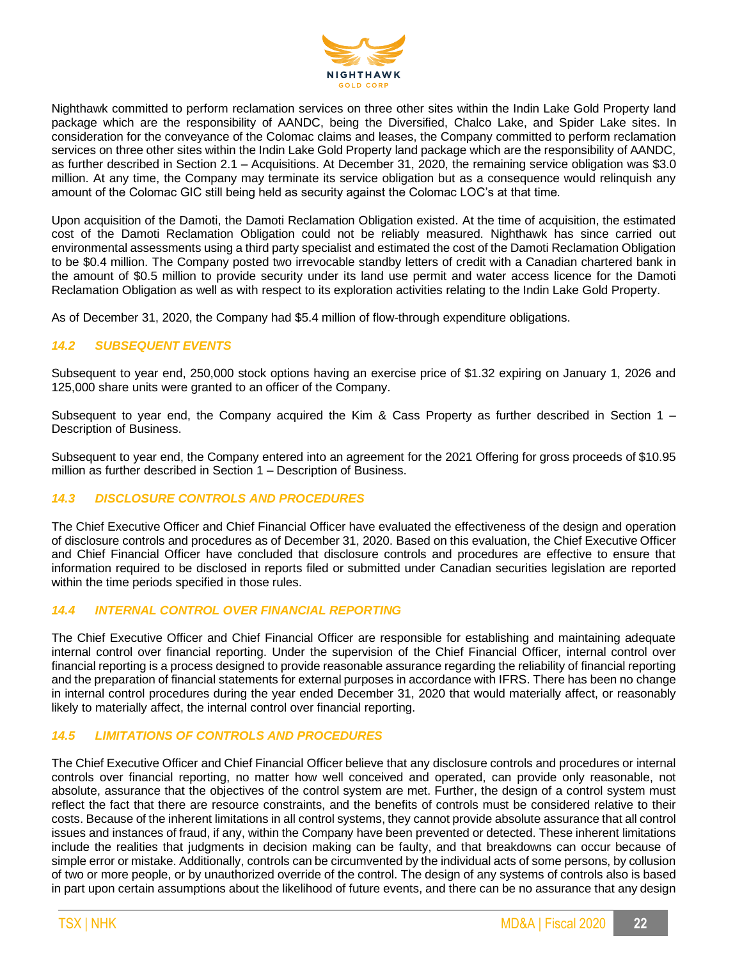

Nighthawk committed to perform reclamation services on three other sites within the Indin Lake Gold Property land package which are the responsibility of AANDC, being the Diversified, Chalco Lake, and Spider Lake sites. In consideration for the conveyance of the Colomac claims and leases, the Company committed to perform reclamation services on three other sites within the Indin Lake Gold Property land package which are the responsibility of AANDC, as further described in Section 2.1 – Acquisitions. At December 31, 2020, the remaining service obligation was \$3.0 million. At any time, the Company may terminate its service obligation but as a consequence would relinquish any amount of the Colomac GIC still being held as security against the Colomac LOC's at that time.

Upon acquisition of the Damoti, the Damoti Reclamation Obligation existed. At the time of acquisition, the estimated cost of the Damoti Reclamation Obligation could not be reliably measured. Nighthawk has since carried out environmental assessments using a third party specialist and estimated the cost of the Damoti Reclamation Obligation to be \$0.4 million. The Company posted two irrevocable standby letters of credit with a Canadian chartered bank in the amount of \$0.5 million to provide security under its land use permit and water access licence for the Damoti Reclamation Obligation as well as with respect to its exploration activities relating to the Indin Lake Gold Property.

As of December 31, 2020, the Company had \$5.4 million of flow-through expenditure obligations.

## *14.2 SUBSEQUENT EVENTS*

Subsequent to year end, 250,000 stock options having an exercise price of \$1.32 expiring on January 1, 2026 and 125,000 share units were granted to an officer of the Company.

Subsequent to year end, the Company acquired the Kim & Cass Property as further described in Section 1 – Description of Business.

Subsequent to year end, the Company entered into an agreement for the 2021 Offering for gross proceeds of \$10.95 million as further described in Section 1 – Description of Business.

## *14.3 DISCLOSURE CONTROLS AND PROCEDURES*

The Chief Executive Officer and Chief Financial Officer have evaluated the effectiveness of the design and operation of disclosure controls and procedures as of December 31, 2020. Based on this evaluation, the Chief Executive Officer and Chief Financial Officer have concluded that disclosure controls and procedures are effective to ensure that information required to be disclosed in reports filed or submitted under Canadian securities legislation are reported within the time periods specified in those rules.

## *14.4 INTERNAL CONTROL OVER FINANCIAL REPORTING*

The Chief Executive Officer and Chief Financial Officer are responsible for establishing and maintaining adequate internal control over financial reporting. Under the supervision of the Chief Financial Officer, internal control over financial reporting is a process designed to provide reasonable assurance regarding the reliability of financial reporting and the preparation of financial statements for external purposes in accordance with IFRS. There has been no change in internal control procedures during the year ended December 31, 2020 that would materially affect, or reasonably likely to materially affect, the internal control over financial reporting.

## *14.5 LIMITATIONS OF CONTROLS AND PROCEDURES*

The Chief Executive Officer and Chief Financial Officer believe that any disclosure controls and procedures or internal controls over financial reporting, no matter how well conceived and operated, can provide only reasonable, not absolute, assurance that the objectives of the control system are met. Further, the design of a control system must reflect the fact that there are resource constraints, and the benefits of controls must be considered relative to their costs. Because of the inherent limitations in all control systems, they cannot provide absolute assurance that all control issues and instances of fraud, if any, within the Company have been prevented or detected. These inherent limitations include the realities that judgments in decision making can be faulty, and that breakdowns can occur because of simple error or mistake. Additionally, controls can be circumvented by the individual acts of some persons, by collusion of two or more people, or by unauthorized override of the control. The design of any systems of controls also is based in part upon certain assumptions about the likelihood of future events, and there can be no assurance that any design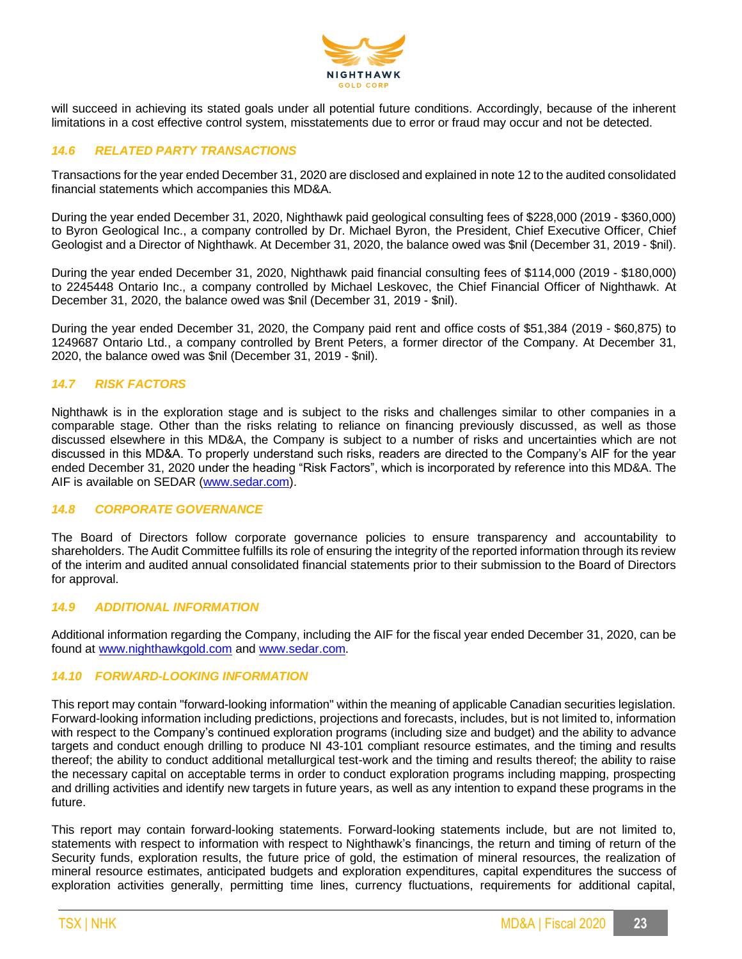

will succeed in achieving its stated goals under all potential future conditions. Accordingly, because of the inherent limitations in a cost effective control system, misstatements due to error or fraud may occur and not be detected.

## *14.6 RELATED PARTY TRANSACTIONS*

Transactions for the year ended December 31, 2020 are disclosed and explained in note 12 to the audited consolidated financial statements which accompanies this MD&A.

During the year ended December 31, 2020, Nighthawk paid geological consulting fees of \$228,000 (2019 - \$360,000) to Byron Geological Inc., a company controlled by Dr. Michael Byron, the President, Chief Executive Officer, Chief Geologist and a Director of Nighthawk. At December 31, 2020, the balance owed was \$nil (December 31, 2019 - \$nil).

During the year ended December 31, 2020, Nighthawk paid financial consulting fees of \$114,000 (2019 - \$180,000) to 2245448 Ontario Inc., a company controlled by Michael Leskovec, the Chief Financial Officer of Nighthawk. At December 31, 2020, the balance owed was \$nil (December 31, 2019 - \$nil).

During the year ended December 31, 2020, the Company paid rent and office costs of \$51,384 (2019 - \$60,875) to 1249687 Ontario Ltd., a company controlled by Brent Peters, a former director of the Company. At December 31, 2020, the balance owed was \$nil (December 31, 2019 - \$nil).

## *14.7 RISK FACTORS*

Nighthawk is in the exploration stage and is subject to the risks and challenges similar to other companies in a comparable stage. Other than the risks relating to reliance on financing previously discussed, as well as those discussed elsewhere in this MD&A, the Company is subject to a number of risks and uncertainties which are not discussed in this MD&A. To properly understand such risks, readers are directed to the Company's AIF for the year ended December 31, 2020 under the heading "Risk Factors", which is incorporated by reference into this MD&A. The AIF is available on SEDAR [\(www.sedar.com\)](http://www.sedar.com/).

#### *14.8 CORPORATE GOVERNANCE*

The Board of Directors follow corporate governance policies to ensure transparency and accountability to shareholders. The Audit Committee fulfills its role of ensuring the integrity of the reported information through its review of the interim and audited annual consolidated financial statements prior to their submission to the Board of Directors for approval.

#### *14.9 ADDITIONAL INFORMATION*

Additional information regarding the Company, including the AIF for the fiscal year ended December 31, 2020, can be found at [www.nighthawkgold.com](http://www.nighthawkgold.com/) and [www.sedar.com.](http://www.sedar.com/)

## *14.10 FORWARD-LOOKING INFORMATION*

This report may contain "forward-looking information" within the meaning of applicable Canadian securities legislation. Forward-looking information including predictions, projections and forecasts, includes, but is not limited to, information with respect to the Company's continued exploration programs (including size and budget) and the ability to advance targets and conduct enough drilling to produce NI 43-101 compliant resource estimates, and the timing and results thereof; the ability to conduct additional metallurgical test-work and the timing and results thereof; the ability to raise the necessary capital on acceptable terms in order to conduct exploration programs including mapping, prospecting and drilling activities and identify new targets in future years, as well as any intention to expand these programs in the future.

This report may contain forward-looking statements. Forward-looking statements include, but are not limited to, statements with respect to information with respect to Nighthawk's financings, the return and timing of return of the Security funds, exploration results, the future price of gold, the estimation of mineral resources, the realization of mineral resource estimates, anticipated budgets and exploration expenditures, capital expenditures the success of exploration activities generally, permitting time lines, currency fluctuations, requirements for additional capital,